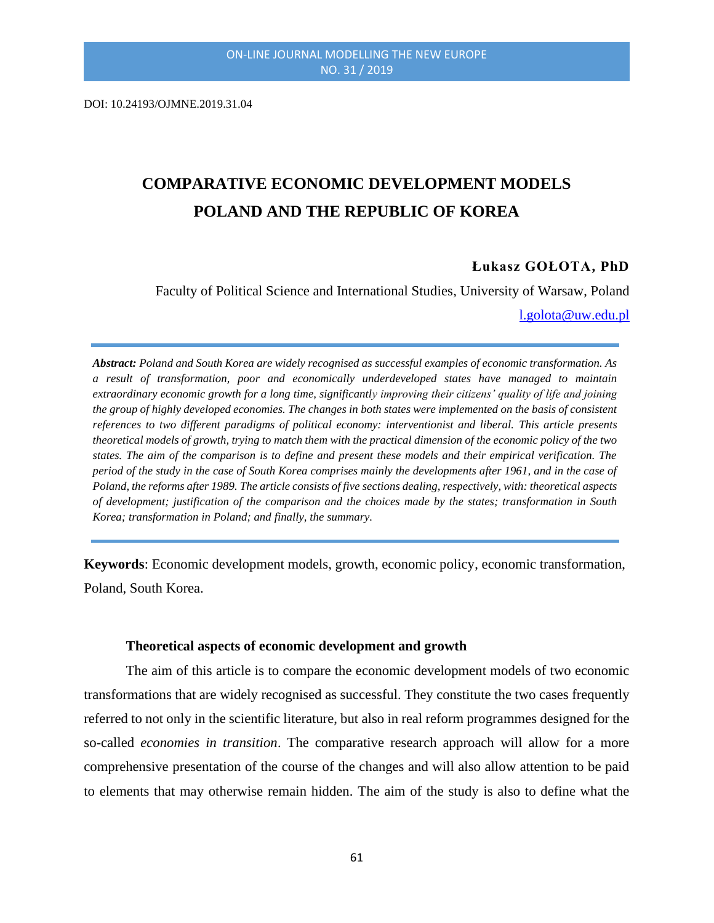DOI: 10.24193/OJMNE.2019.31.04

# **COMPARATIVE ECONOMIC DEVELOPMENT MODELS POLAND AND THE REPUBLIC OF KOREA**

# **Łukasz GOŁOTA, PhD**

Faculty of Political Science and International Studies, University of Warsaw, Poland [l.golota@uw.edu.pl](mailto:l.golota@uw.edu.pl)

*Abstract: Poland and South Korea are widely recognised as successful examples of economic transformation. As a result of transformation, poor and economically underdeveloped states have managed to maintain extraordinary economic growth for a long time, significantly improving their citizens' quality of life and joining the group of highly developed economies. The changes in both states were implemented on the basis of consistent references to two different paradigms of political economy: interventionist and liberal. This article presents theoretical models of growth, trying to match them with the practical dimension of the economic policy of the two states. The aim of the comparison is to define and present these models and their empirical verification. The period of the study in the case of South Korea comprises mainly the developments after 1961, and in the case of Poland, the reforms after 1989. The article consists of five sections dealing, respectively, with: theoretical aspects of development; justification of the comparison and the choices made by the states; transformation in South Korea; transformation in Poland; and finally, the summary.*

**Keywords**: Economic development models, growth, economic policy, economic transformation, Poland, South Korea.

#### **Theoretical aspects of economic development and growth**

The aim of this article is to compare the economic development models of two economic transformations that are widely recognised as successful. They constitute the two cases frequently referred to not only in the scientific literature, but also in real reform programmes designed for the so-called *economies in transition*. The comparative research approach will allow for a more comprehensive presentation of the course of the changes and will also allow attention to be paid to elements that may otherwise remain hidden. The aim of the study is also to define what the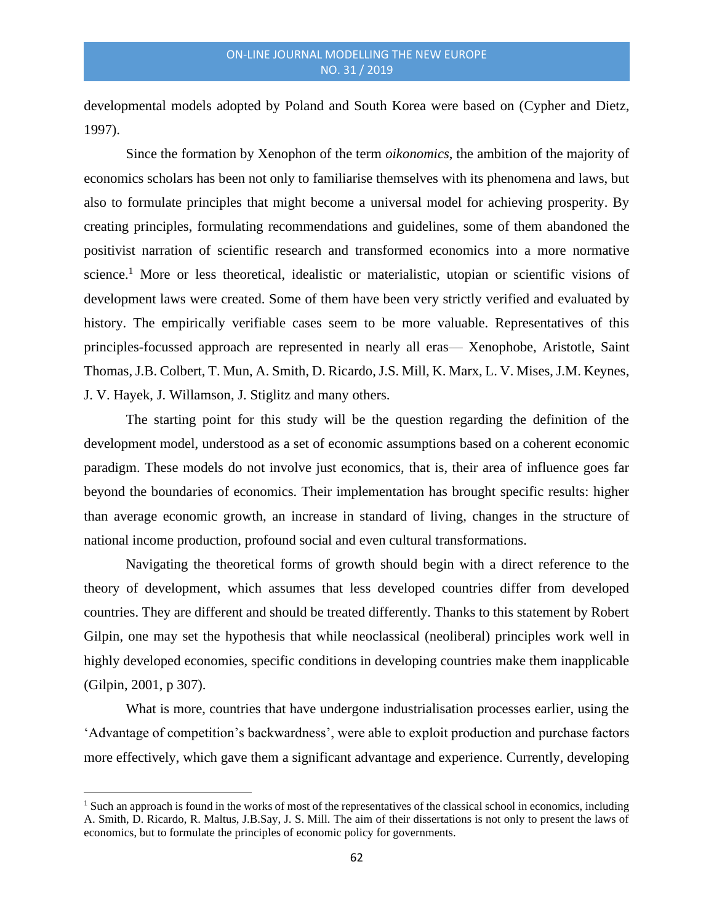developmental models adopted by Poland and South Korea were based on (Cypher and Dietz, 1997).

Since the formation by Xenophon of the term *oikonomics*, the ambition of the majority of economics scholars has been not only to familiarise themselves with its phenomena and laws, but also to formulate principles that might become a universal model for achieving prosperity. By creating principles, formulating recommendations and guidelines, some of them abandoned the positivist narration of scientific research and transformed economics into a more normative science.<sup>1</sup> More or less theoretical, idealistic or materialistic, utopian or scientific visions of development laws were created. Some of them have been very strictly verified and evaluated by history. The empirically verifiable cases seem to be more valuable. Representatives of this principles-focussed approach are represented in nearly all eras— Xenophobe, Aristotle, Saint Thomas, J.B. Colbert, T. Mun, A. Smith, D. Ricardo, J.S. Mill, K. Marx, L. V. Mises, J.M. Keynes, J. V. Hayek, J. Willamson, J. Stiglitz and many others.

The starting point for this study will be the question regarding the definition of the development model, understood as a set of economic assumptions based on a coherent economic paradigm. These models do not involve just economics, that is, their area of influence goes far beyond the boundaries of economics. Their implementation has brought specific results: higher than average economic growth, an increase in standard of living, changes in the structure of national income production, profound social and even cultural transformations.

Navigating the theoretical forms of growth should begin with a direct reference to the theory of development, which assumes that less developed countries differ from developed countries. They are different and should be treated differently. Thanks to this statement by Robert Gilpin, one may set the hypothesis that while neoclassical (neoliberal) principles work well in highly developed economies, specific conditions in developing countries make them inapplicable (Gilpin, 2001, p 307).

What is more, countries that have undergone industrialisation processes earlier, using the 'Advantage of competition's backwardness', were able to exploit production and purchase factors more effectively, which gave them a significant advantage and experience. Currently, developing

<sup>&</sup>lt;sup>1</sup> Such an approach is found in the works of most of the representatives of the classical school in economics, including A. Smith, D. Ricardo, R. Maltus, J.B.Say, J. S. Mill. The aim of their dissertations is not only to present the laws of economics, but to formulate the principles of economic policy for governments.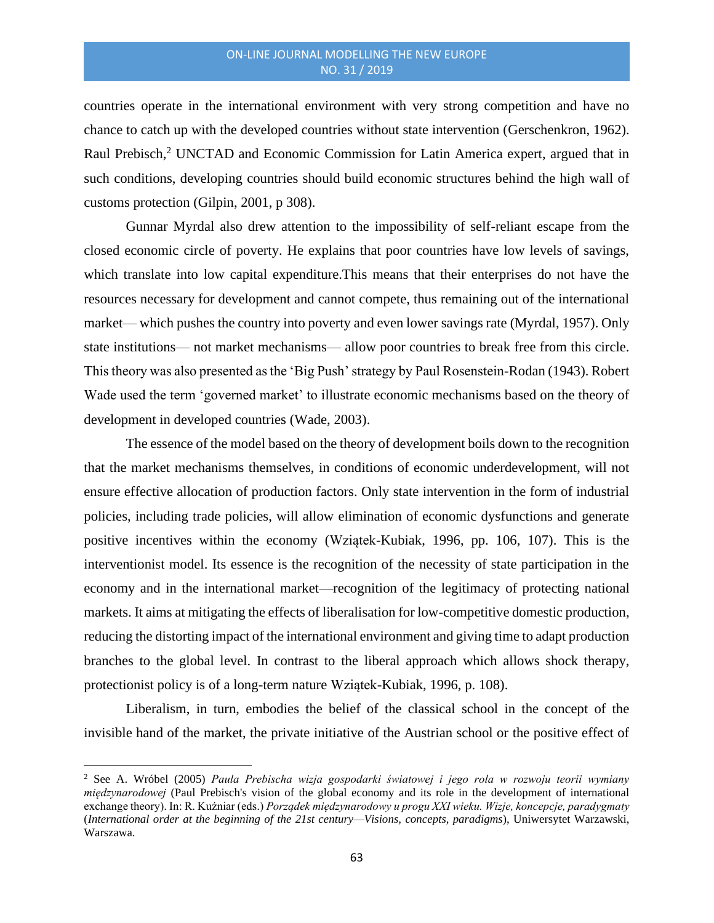countries operate in the international environment with very strong competition and have no chance to catch up with the developed countries without state intervention (Gerschenkron, 1962). Raul Prebisch,<sup>2</sup> UNCTAD and Economic Commission for Latin America expert, argued that in such conditions, developing countries should build economic structures behind the high wall of customs protection (Gilpin, 2001, p 308).

Gunnar Myrdal also drew attention to the impossibility of self-reliant escape from the closed economic circle of poverty. He explains that poor countries have low levels of savings, which translate into low capital expenditure.This means that their enterprises do not have the resources necessary for development and cannot compete, thus remaining out of the international market— which pushes the country into poverty and even lower savings rate (Myrdal, 1957). Only state institutions— not market mechanisms— allow poor countries to break free from this circle. This theory was also presented as the 'Big Push' strategy by Paul Rosenstein-Rodan (1943). Robert Wade used the term 'governed market' to illustrate economic mechanisms based on the theory of development in developed countries (Wade, 2003).

The essence of the model based on the theory of development boils down to the recognition that the market mechanisms themselves, in conditions of economic underdevelopment, will not ensure effective allocation of production factors. Only state intervention in the form of industrial policies, including trade policies, will allow elimination of economic dysfunctions and generate positive incentives within the economy (Wziątek-Kubiak, 1996, pp. 106, 107). This is the interventionist model. Its essence is the recognition of the necessity of state participation in the economy and in the international market—recognition of the legitimacy of protecting national markets. It aims at mitigating the effects of liberalisation for low-competitive domestic production, reducing the distorting impact of the international environment and giving time to adapt production branches to the global level. In contrast to the liberal approach which allows shock therapy, protectionist policy is of a long-term nature Wziątek-Kubiak, 1996, p. 108).

Liberalism, in turn, embodies the belief of the classical school in the concept of the invisible hand of the market, the private initiative of the Austrian school or the positive effect of

<sup>2</sup> See A. Wróbel (2005) *Paula Prebischa wizja gospodarki światowej i jego rola w rozwoju teorii wymiany międzynarodowej* (Paul Prebisch's vision of the global economy and its role in the development of international exchange theory). In: R. Kuźniar (eds.) *Porządek międzynarodowy u progu XXI wieku. Wizje, koncepcje, paradygmaty*  (*International order at the beginning of the 21st century—Visions, concepts, paradigms*), Uniwersytet Warzawski, Warszawa.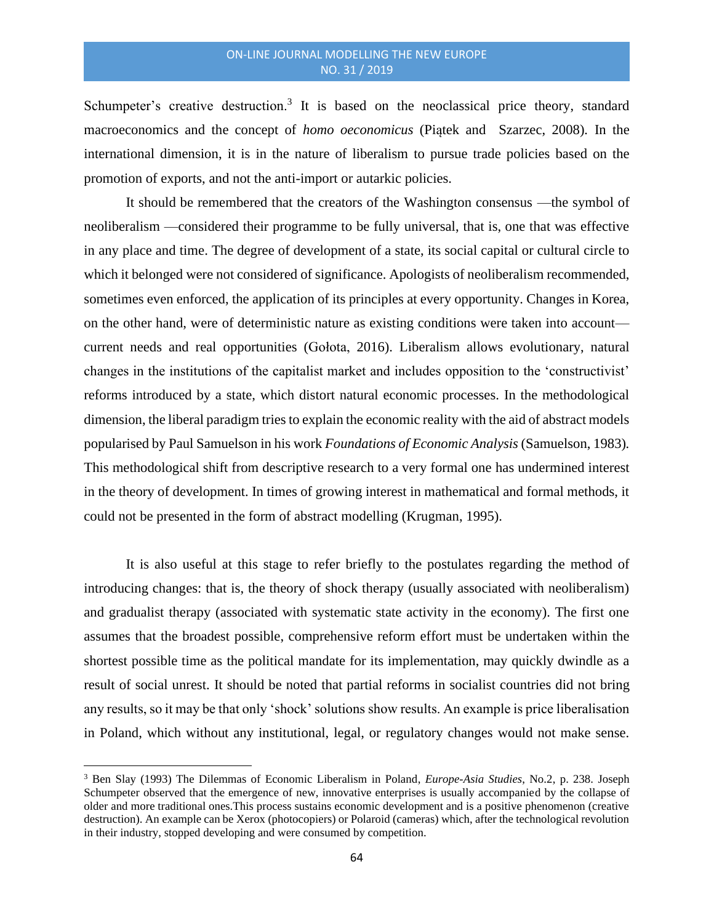Schumpeter's creative destruction.<sup>3</sup> It is based on the neoclassical price theory, standard macroeconomics and the concept of *homo oeconomicus* (Piątek and Szarzec, 2008)*.* In the international dimension, it is in the nature of liberalism to pursue trade policies based on the promotion of exports, and not the anti-import or autarkic policies.

It should be remembered that the creators of the Washington consensus —the symbol of neoliberalism —considered their programme to be fully universal, that is, one that was effective in any place and time. The degree of development of a state, its social capital or cultural circle to which it belonged were not considered of significance. Apologists of neoliberalism recommended, sometimes even enforced, the application of its principles at every opportunity. Changes in Korea, on the other hand, were of deterministic nature as existing conditions were taken into account current needs and real opportunities (Gołota, 2016). Liberalism allows evolutionary, natural changes in the institutions of the capitalist market and includes opposition to the 'constructivist' reforms introduced by a state, which distort natural economic processes. In the methodological dimension, the liberal paradigm tries to explain the economic reality with the aid of abstract models popularised by Paul Samuelson in his work *Foundations of Economic Analysis* (Samuelson, 1983)*.* This methodological shift from descriptive research to a very formal one has undermined interest in the theory of development. In times of growing interest in mathematical and formal methods, it could not be presented in the form of abstract modelling (Krugman, 1995).

It is also useful at this stage to refer briefly to the postulates regarding the method of introducing changes: that is, the theory of shock therapy (usually associated with neoliberalism) and gradualist therapy (associated with systematic state activity in the economy). The first one assumes that the broadest possible, comprehensive reform effort must be undertaken within the shortest possible time as the political mandate for its implementation, may quickly dwindle as a result of social unrest. It should be noted that partial reforms in socialist countries did not bring any results, so it may be that only 'shock' solutions show results. An example is price liberalisation in Poland, which without any institutional, legal, or regulatory changes would not make sense.

<sup>3</sup> Ben Slay (1993) The Dilemmas of Economic Liberalism in Poland, *Europe-Asia Studies*, No.2, p. 238. Joseph Schumpeter observed that the emergence of new, innovative enterprises is usually accompanied by the collapse of older and more traditional ones.This process sustains economic development and is a positive phenomenon (creative destruction). An example can be Xerox (photocopiers) or Polaroid (cameras) which, after the technological revolution in their industry, stopped developing and were consumed by competition.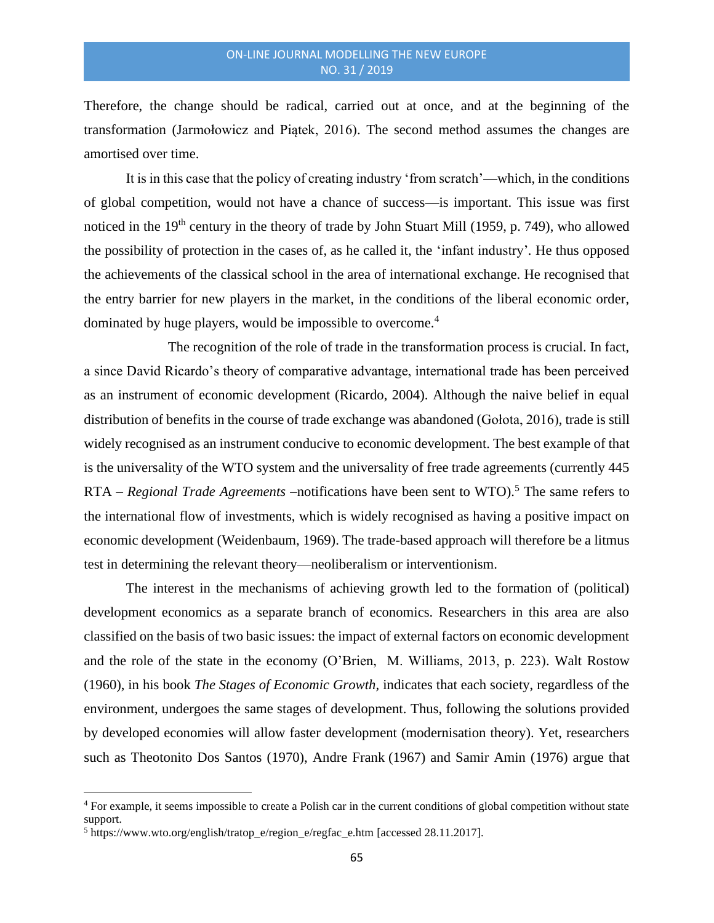Therefore, the change should be radical, carried out at once, and at the beginning of the transformation (Jarmołowicz and Piątek, 2016). The second method assumes the changes are amortised over time.

It is in this case that the policy of creating industry 'from scratch'—which, in the conditions of global competition, would not have a chance of success—is important. This issue was first noticed in the 19<sup>th</sup> century in the theory of trade by John Stuart Mill (1959, p. 749), who allowed the possibility of protection in the cases of, as he called it, the 'infant industry'*.* He thus opposed the achievements of the classical school in the area of international exchange. He recognised that the entry barrier for new players in the market, in the conditions of the liberal economic order, dominated by huge players, would be impossible to overcome.<sup>4</sup>

The recognition of the role of trade in the transformation process is crucial. In fact, a since David Ricardo's theory of comparative advantage, international trade has been perceived as an instrument of economic development (Ricardo, 2004). Although the naive belief in equal distribution of benefits in the course of trade exchange was abandoned (Gołota, 2016), trade is still widely recognised as an instrument conducive to economic development. The best example of that is the universality of the WTO system and the universality of free trade agreements (currently 445 RTA – *Regional Trade Agreements* –notifications have been sent to WTO).<sup>5</sup> The same refers to the international flow of investments, which is widely recognised as having a positive impact on economic development (Weidenbaum, 1969). The trade-based approach will therefore be a litmus test in determining the relevant theory—neoliberalism or interventionism.

The interest in the mechanisms of achieving growth led to the formation of (political) development economics as a separate branch of economics. Researchers in this area are also classified on the basis of two basic issues: the impact of external factors on economic development and the role of the state in the economy (O'Brien, M. Williams, 2013, p. 223). Walt Rostow (1960), in his book *The Stages of Economic Growth,* indicates that each society, regardless of the environment, undergoes the same stages of development. Thus, following the solutions provided by developed economies will allow faster development (modernisation theory). Yet, researchers such as Theotonito Dos Santos (1970), Andre Frank (1967) and Samir Amin (1976) argue that

<sup>4</sup> For example, it seems impossible to create a Polish car in the current conditions of global competition without state support.

<sup>5</sup> [https://www.wto.org/english/tratop\\_e/region\\_e/regfac\\_e.htm](https://www.wto.org/english/tratop_e/region_e/regfac_e.htm) [accessed 28.11.2017].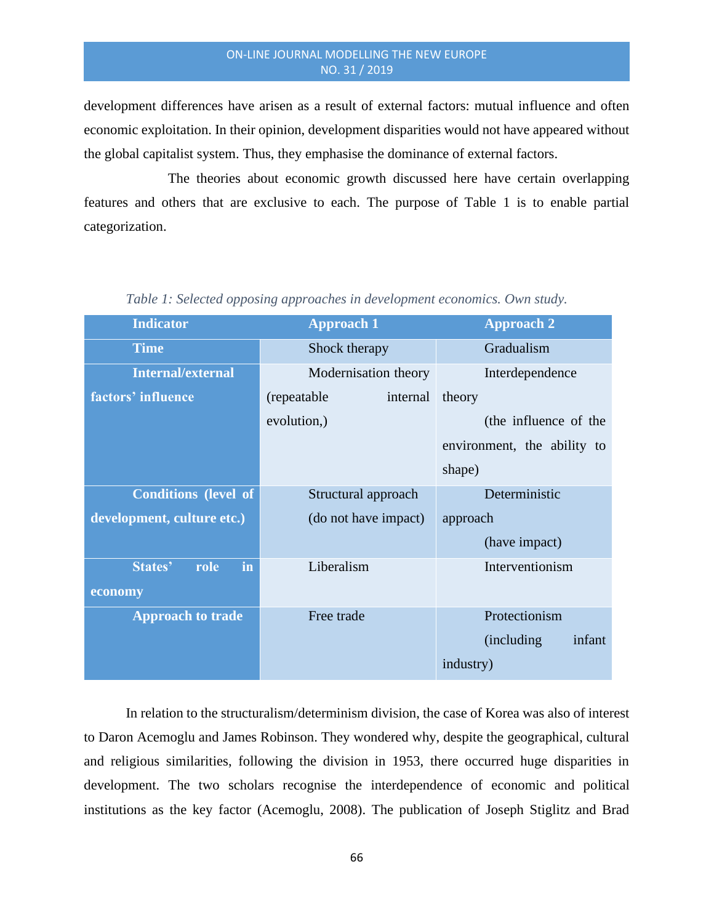development differences have arisen as a result of external factors: mutual influence and often economic exploitation. In their opinion, development disparities would not have appeared without the global capitalist system. Thus, they emphasise the dominance of external factors.

The theories about economic growth discussed here have certain overlapping features and others that are exclusive to each. The purpose of Table 1 is to enable partial categorization.

| <b>Indicator</b>            | <b>Approach 1</b>        | <b>Approach 2</b>           |
|-----------------------------|--------------------------|-----------------------------|
| <b>Time</b>                 | Shock therapy            | Gradualism                  |
| <b>Internal/external</b>    | Modernisation theory     | Interdependence             |
| factors' influence          | (repeatable)<br>internal | theory                      |
|                             | evolution,)              | (the influence of the       |
|                             |                          | environment, the ability to |
|                             |                          | shape)                      |
| <b>Conditions (level of</b> | Structural approach      | Deterministic               |
| development, culture etc.)  | (do not have impact)     | approach                    |
|                             |                          | (have impact)               |
| in<br>States'<br>role       | Liberalism               | Interventionism             |
| economy                     |                          |                             |
| <b>Approach to trade</b>    | Free trade               | Protectionism               |
|                             |                          | infant<br>(including)       |
|                             |                          | industry)                   |

*Table 1: Selected opposing approaches in development economics. Own study.*

In relation to the structuralism/determinism division, the case of Korea was also of interest to Daron Acemoglu and James Robinson. They wondered why, despite the geographical, cultural and religious similarities, following the division in 1953, there occurred huge disparities in development. The two scholars recognise the interdependence of economic and political institutions as the key factor (Acemoglu, 2008). The publication of Joseph Stiglitz and Brad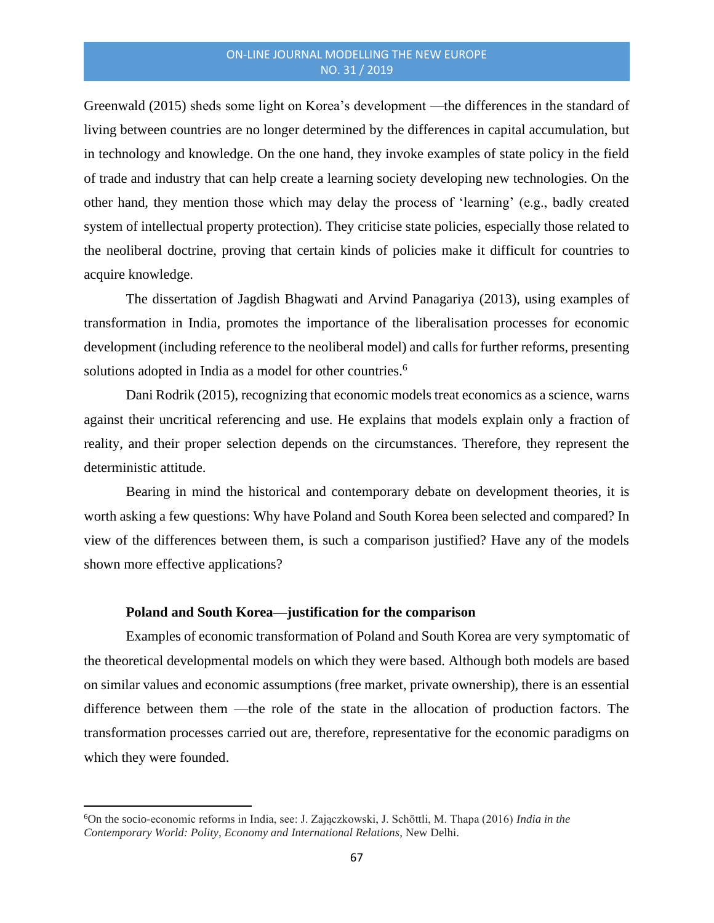Greenwald (2015) sheds some light on Korea's development —the differences in the standard of living between countries are no longer determined by the differences in capital accumulation, but in technology and knowledge. On the one hand, they invoke examples of state policy in the field of trade and industry that can help create a learning society developing new technologies. On the other hand, they mention those which may delay the process of 'learning' (e.g., badly created system of intellectual property protection). They criticise state policies, especially those related to the neoliberal doctrine, proving that certain kinds of policies make it difficult for countries to acquire knowledge.

The dissertation of Jagdish Bhagwati and Arvind Panagariya (2013), using examples of transformation in India, promotes the importance of the liberalisation processes for economic development (including reference to the neoliberal model) and calls for further reforms, presenting solutions adopted in India as a model for other countries.<sup>6</sup>

Dani Rodrik (2015), recognizing that economic models treat economics as a science, warns against their uncritical referencing and use. He explains that models explain only a fraction of reality, and their proper selection depends on the circumstances. Therefore, they represent the deterministic attitude.

Bearing in mind the historical and contemporary debate on development theories, it is worth asking a few questions: Why have Poland and South Korea been selected and compared? In view of the differences between them, is such a comparison justified? Have any of the models shown more effective applications?

#### **Poland and South Korea—justification for the comparison**

Examples of economic transformation of Poland and South Korea are very symptomatic of the theoretical developmental models on which they were based. Although both models are based on similar values and economic assumptions (free market, private ownership), there is an essential difference between them —the role of the state in the allocation of production factors. The transformation processes carried out are, therefore, representative for the economic paradigms on which they were founded.

<sup>6</sup>On the socio-economic reforms in India, see: J. Zajączkowski, J. Schöttli, M. Thapa (2016) *India in the Contemporary World: Polity, Economy and International Relations*, New Delhi.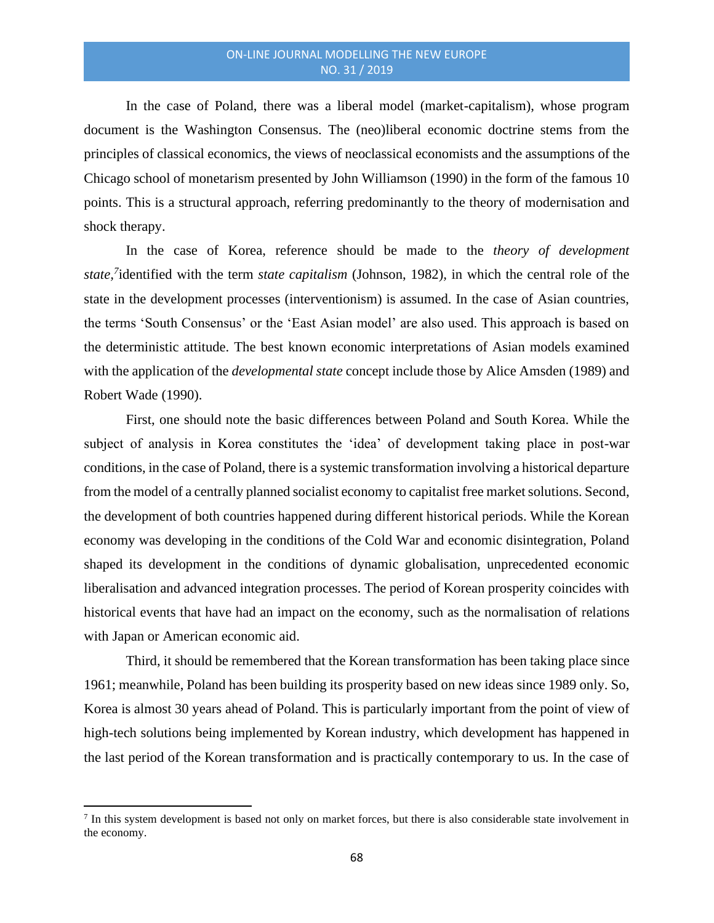In the case of Poland, there was a liberal model (market-capitalism), whose program document is the Washington Consensus. The (neo)liberal economic doctrine stems from the principles of classical economics, the views of neoclassical economists and the assumptions of the Chicago school of monetarism presented by John Williamson (1990) in the form of the famous 10 points. This is a structural approach, referring predominantly to the theory of modernisation and shock therapy.

In the case of Korea, reference should be made to the *theory of development state,<sup>7</sup>* identified with the term *state capitalism* (Johnson, 1982)*,* in which the central role of the state in the development processes (interventionism) is assumed. In the case of Asian countries, the terms 'South Consensus' or the 'East Asian model' are also used. This approach is based on the deterministic attitude. The best known economic interpretations of Asian models examined with the application of the *developmental state* concept include those by Alice Amsden (1989) and Robert Wade (1990).

First, one should note the basic differences between Poland and South Korea. While the subject of analysis in Korea constitutes the 'idea' of development taking place in post-war conditions, in the case of Poland, there is a systemic transformation involving a historical departure from the model of a centrally planned socialist economy to capitalist free market solutions. Second, the development of both countries happened during different historical periods. While the Korean economy was developing in the conditions of the Cold War and economic disintegration, Poland shaped its development in the conditions of dynamic globalisation, unprecedented economic liberalisation and advanced integration processes. The period of Korean prosperity coincides with historical events that have had an impact on the economy, such as the normalisation of relations with Japan or American economic aid.

Third, it should be remembered that the Korean transformation has been taking place since 1961; meanwhile, Poland has been building its prosperity based on new ideas since 1989 only. So, Korea is almost 30 years ahead of Poland. This is particularly important from the point of view of high-tech solutions being implemented by Korean industry, which development has happened in the last period of the Korean transformation and is practically contemporary to us. In the case of

 $<sup>7</sup>$  In this system development is based not only on market forces, but there is also considerable state involvement in</sup> the economy.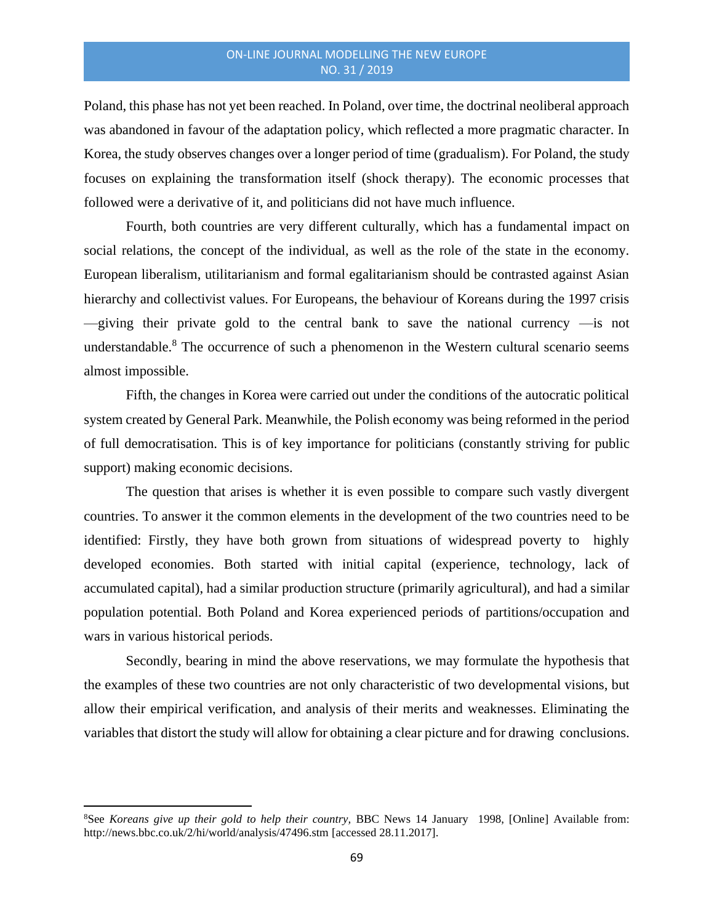Poland, this phase has not yet been reached. In Poland, over time, the doctrinal neoliberal approach was abandoned in favour of the adaptation policy, which reflected a more pragmatic character. In Korea, the study observes changes over a longer period of time (gradualism). For Poland, the study focuses on explaining the transformation itself (shock therapy). The economic processes that followed were a derivative of it, and politicians did not have much influence.

Fourth, both countries are very different culturally, which has a fundamental impact on social relations, the concept of the individual, as well as the role of the state in the economy. European liberalism, utilitarianism and formal egalitarianism should be contrasted against Asian hierarchy and collectivist values. For Europeans, the behaviour of Koreans during the 1997 crisis —giving their private gold to the central bank to save the national currency —is not understandable.<sup>8</sup> The occurrence of such a phenomenon in the Western cultural scenario seems almost impossible.

Fifth, the changes in Korea were carried out under the conditions of the autocratic political system created by General Park. Meanwhile, the Polish economy was being reformed in the period of full democratisation. This is of key importance for politicians (constantly striving for public support) making economic decisions.

The question that arises is whether it is even possible to compare such vastly divergent countries. To answer it the common elements in the development of the two countries need to be identified: Firstly, they have both grown from situations of widespread poverty to highly developed economies. Both started with initial capital (experience, technology, lack of accumulated capital), had a similar production structure (primarily agricultural), and had a similar population potential. Both Poland and Korea experienced periods of partitions/occupation and wars in various historical periods.

Secondly, bearing in mind the above reservations, we may formulate the hypothesis that the examples of these two countries are not only characteristic of two developmental visions, but allow their empirical verification, and analysis of their merits and weaknesses. Eliminating the variables that distort the study will allow for obtaining a clear picture and for drawing conclusions.

<sup>8</sup>See *Koreans give up their gold to help their country,* BBC News 14 January 1998, [Online] Available from: <http://news.bbc.co.uk/2/hi/world/analysis/47496.stm> [accessed 28.11.2017].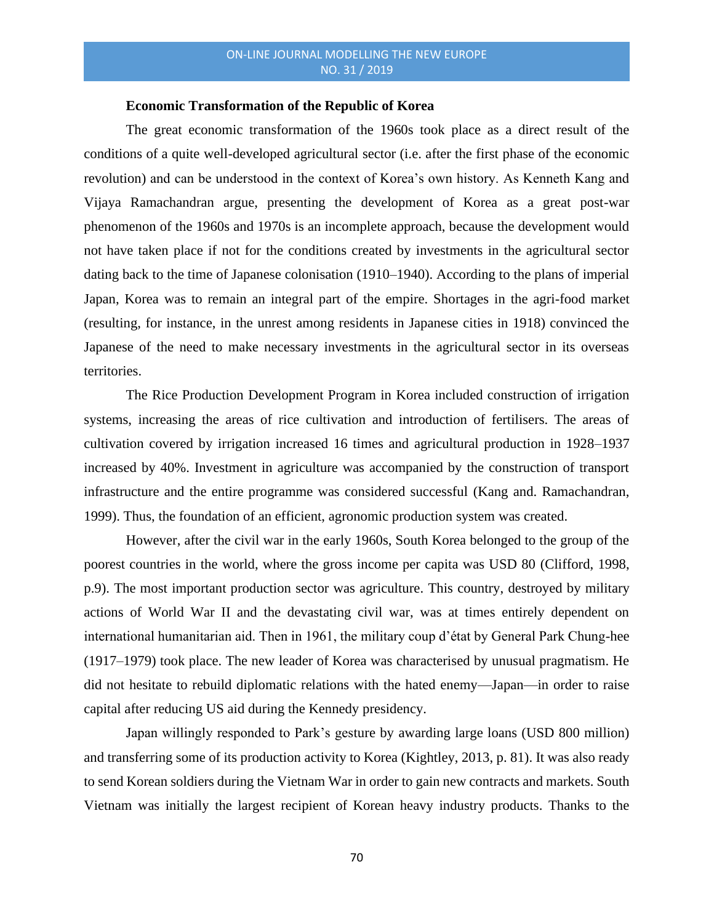#### **Economic Transformation of the Republic of Korea**

The great economic transformation of the 1960s took place as a direct result of the conditions of a quite well-developed agricultural sector (i.e. after the first phase of the economic revolution) and can be understood in the context of Korea's own history. As Kenneth Kang and Vijaya Ramachandran argue, presenting the development of Korea as a great post-war phenomenon of the 1960s and 1970s is an incomplete approach, because the development would not have taken place if not for the conditions created by investments in the agricultural sector dating back to the time of Japanese colonisation (1910–1940). According to the plans of imperial Japan, Korea was to remain an integral part of the empire. Shortages in the agri-food market (resulting, for instance, in the unrest among residents in Japanese cities in 1918) convinced the Japanese of the need to make necessary investments in the agricultural sector in its overseas territories.

The Rice Production Development Program in Korea included construction of irrigation systems, increasing the areas of rice cultivation and introduction of fertilisers. The areas of cultivation covered by irrigation increased 16 times and agricultural production in 1928–1937 increased by 40%. Investment in agriculture was accompanied by the construction of transport infrastructure and the entire programme was considered successful (Kang and. Ramachandran, 1999). Thus, the foundation of an efficient, agronomic production system was created.

However, after the civil war in the early 1960s, South Korea belonged to the group of the poorest countries in the world, where the gross income per capita was USD 80 (Clifford, 1998, p.9). The most important production sector was agriculture. This country, destroyed by military actions of World War II and the devastating civil war, was at times entirely dependent on international humanitarian aid. Then in 1961, the military coup d'état by General Park Chung-hee (1917–1979) took place. The new leader of Korea was characterised by unusual pragmatism. He did not hesitate to rebuild diplomatic relations with the hated enemy—Japan—in order to raise capital after reducing US aid during the Kennedy presidency.

Japan willingly responded to Park's gesture by awarding large loans (USD 800 million) and transferring some of its production activity to Korea (Kightley, 2013, p. 81). It was also ready to send Korean soldiers during the Vietnam War in order to gain new contracts and markets. South Vietnam was initially the largest recipient of Korean heavy industry products. Thanks to the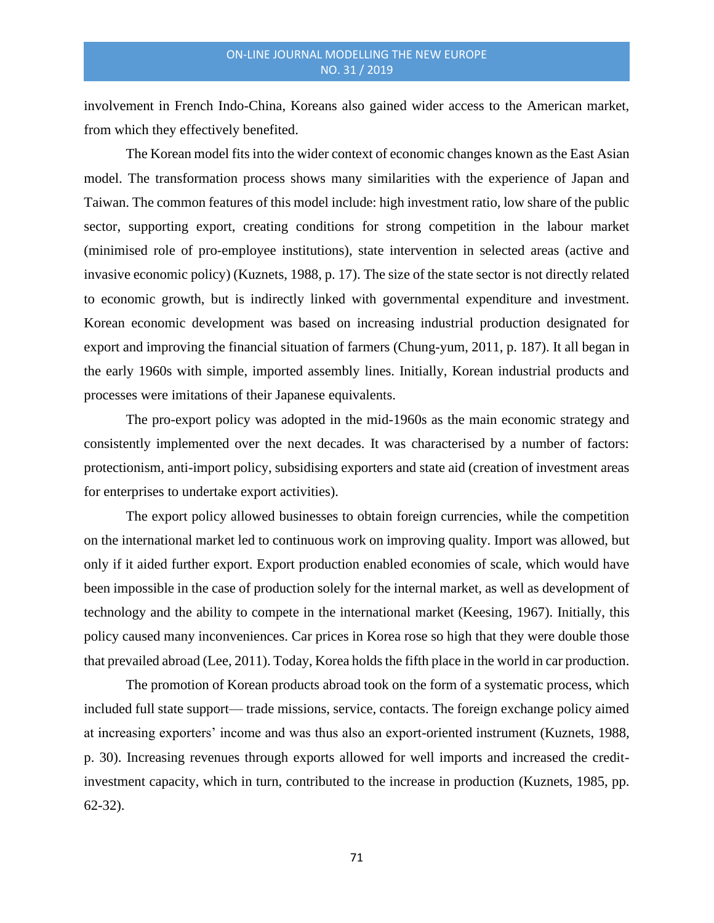involvement in French Indo-China, Koreans also gained wider access to the American market, from which they effectively benefited.

The Korean model fits into the wider context of economic changes known as the East Asian model. The transformation process shows many similarities with the experience of Japan and Taiwan. The common features of this model include: high investment ratio, low share of the public sector, supporting export, creating conditions for strong competition in the labour market (minimised role of pro-employee institutions), state intervention in selected areas (active and invasive economic policy) (Kuznets, 1988, p. 17). The size of the state sector is not directly related to economic growth, but is indirectly linked with governmental expenditure and investment. Korean economic development was based on increasing industrial production designated for export and improving the financial situation of farmers (Chung-yum, 2011, p. 187). It all began in the early 1960s with simple, imported assembly lines. Initially, Korean industrial products and processes were imitations of their Japanese equivalents.

The pro-export policy was adopted in the mid-1960s as the main economic strategy and consistently implemented over the next decades. It was characterised by a number of factors: protectionism, anti-import policy, subsidising exporters and state aid (creation of investment areas for enterprises to undertake export activities).

The export policy allowed businesses to obtain foreign currencies, while the competition on the international market led to continuous work on improving quality. Import was allowed, but only if it aided further export. Export production enabled economies of scale, which would have been impossible in the case of production solely for the internal market, as well as development of technology and the ability to compete in the international market (Keesing, 1967). Initially, this policy caused many inconveniences. Car prices in Korea rose so high that they were double those that prevailed abroad (Lee, 2011). Today, Korea holds the fifth place in the world in car production.

The promotion of Korean products abroad took on the form of a systematic process, which included full state support— trade missions, service, contacts. The foreign exchange policy aimed at increasing exporters' income and was thus also an export-oriented instrument (Kuznets, 1988, p. 30). Increasing revenues through exports allowed for well imports and increased the creditinvestment capacity, which in turn, contributed to the increase in production (Kuznets, 1985, pp. 62-32).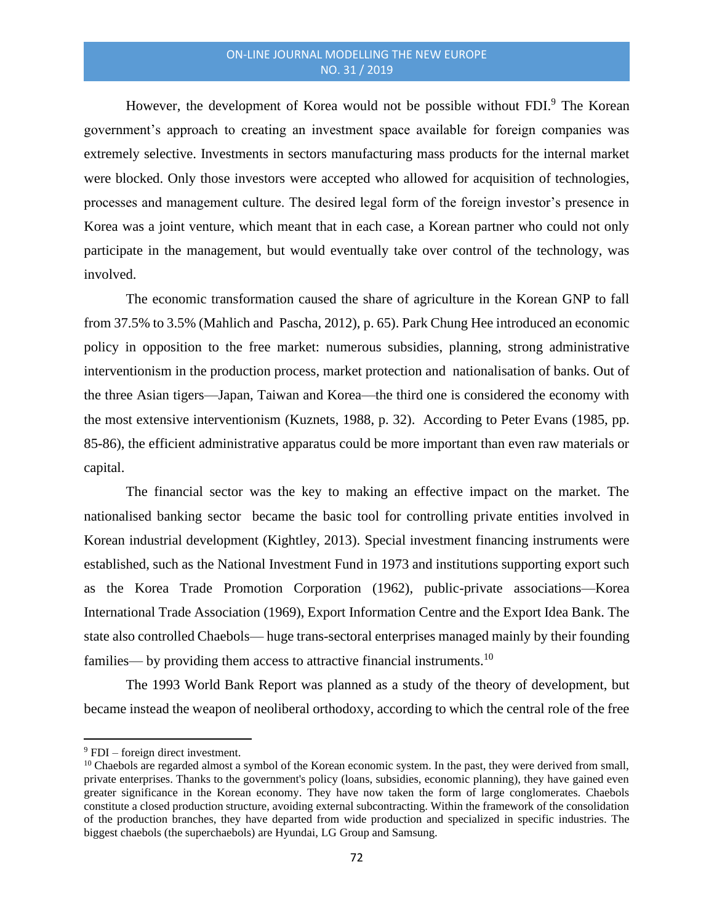However, the development of Korea would not be possible without FDI.<sup>9</sup> The Korean government's approach to creating an investment space available for foreign companies was extremely selective. Investments in sectors manufacturing mass products for the internal market were blocked. Only those investors were accepted who allowed for acquisition of technologies, processes and management culture. The desired legal form of the foreign investor's presence in Korea was a joint venture, which meant that in each case, a Korean partner who could not only participate in the management, but would eventually take over control of the technology, was involved.

The economic transformation caused the share of agriculture in the Korean GNP to fall from 37.5% to 3.5% (Mahlich and Pascha, 2012), p. 65). Park Chung Hee introduced an economic policy in opposition to the free market: numerous subsidies, planning, strong administrative interventionism in the production process, market protection and nationalisation of banks. Out of the three Asian tigers—Japan, Taiwan and Korea—the third one is considered the economy with the most extensive interventionism (Kuznets, 1988, p. 32). According to Peter Evans (1985, pp. 85-86), the efficient administrative apparatus could be more important than even raw materials or capital.

The financial sector was the key to making an effective impact on the market. The nationalised banking sector became the basic tool for controlling private entities involved in Korean industrial development (Kightley, 2013). Special investment financing instruments were established, such as the National Investment Fund in 1973 and institutions supporting export such as the Korea Trade Promotion Corporation (1962), public-private associations—Korea International Trade Association (1969), Export Information Centre and the Export Idea Bank. The state also controlled Chaebols— huge trans-sectoral enterprises managed mainly by their founding families— by providing them access to attractive financial instruments.<sup>10</sup>

The 1993 World Bank Report was planned as a study of the theory of development, but became instead the weapon of neoliberal orthodoxy, according to which the central role of the free

 $9$  FDI – foreign direct investment.

<sup>&</sup>lt;sup>10</sup> Chaebols are regarded almost a symbol of the Korean economic system. In the past, they were derived from small, private enterprises. Thanks to the government's policy (loans, subsidies, economic planning), they have gained even greater significance in the Korean economy. They have now taken the form of large conglomerates. Chaebols constitute a closed production structure, avoiding external subcontracting. Within the framework of the consolidation of the production branches, they have departed from wide production and specialized in specific industries. The biggest chaebols (the superchaebols) are Hyundai, LG Group and Samsung.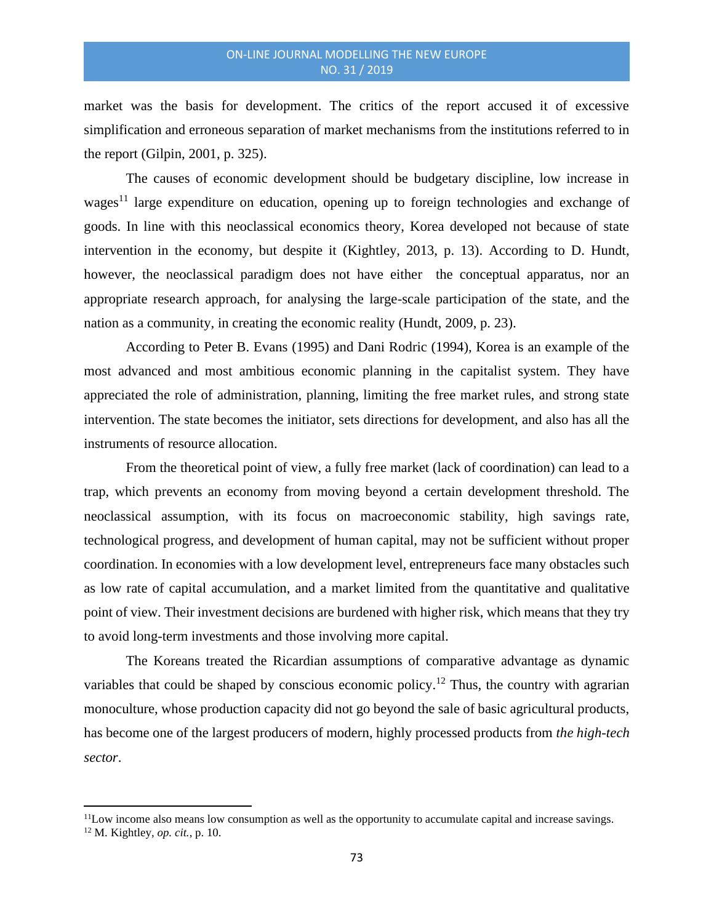market was the basis for development. The critics of the report accused it of excessive simplification and erroneous separation of market mechanisms from the institutions referred to in the report (Gilpin, 2001, p. 325).

The causes of economic development should be budgetary discipline, low increase in wages<sup>11</sup> large expenditure on education, opening up to foreign technologies and exchange of goods. In line with this neoclassical economics theory, Korea developed not because of state intervention in the economy, but despite it (Kightley, 2013, p. 13). According to D. Hundt, however, the neoclassical paradigm does not have either the conceptual apparatus, nor an appropriate research approach, for analysing the large-scale participation of the state, and the nation as a community, in creating the economic reality (Hundt, 2009, p. 23).

According to Peter B. Evans (1995) and Dani Rodric (1994), Korea is an example of the most advanced and most ambitious economic planning in the capitalist system. They have appreciated the role of administration, planning, limiting the free market rules, and strong state intervention. The state becomes the initiator, sets directions for development, and also has all the instruments of resource allocation.

From the theoretical point of view, a fully free market (lack of coordination) can lead to a trap, which prevents an economy from moving beyond a certain development threshold. The neoclassical assumption, with its focus on macroeconomic stability, high savings rate, technological progress, and development of human capital, may not be sufficient without proper coordination. In economies with a low development level, entrepreneurs face many obstacles such as low rate of capital accumulation, and a market limited from the quantitative and qualitative point of view. Their investment decisions are burdened with higher risk, which means that they try to avoid long-term investments and those involving more capital.

The Koreans treated the Ricardian assumptions of comparative advantage as dynamic variables that could be shaped by conscious economic policy.<sup>12</sup> Thus, the country with agrarian monoculture, whose production capacity did not go beyond the sale of basic agricultural products, has become one of the largest producers of modern, highly processed products from *the high-tech sector*.

<sup>&</sup>lt;sup>11</sup>Low income also means low consumption as well as the opportunity to accumulate capital and increase savings. <sup>12</sup> M. Kightley, *op. cit.*, p. 10.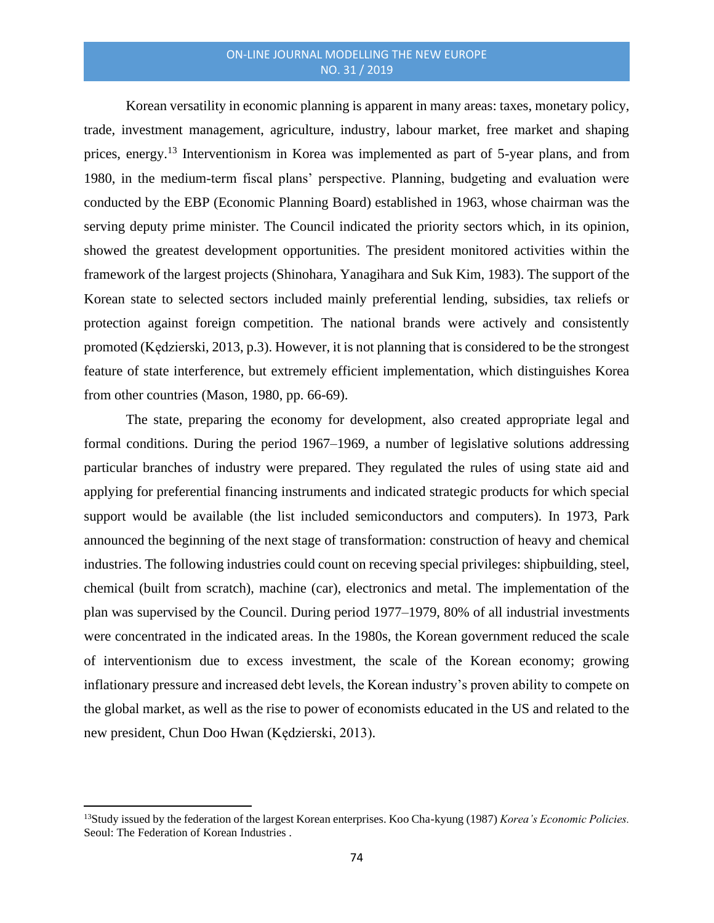Korean versatility in economic planning is apparent in many areas: taxes, monetary policy, trade, investment management, agriculture, industry, labour market, free market and shaping prices, energy.<sup>13</sup> Interventionism in Korea was implemented as part of 5-year plans, and from 1980, in the medium-term fiscal plans' perspective. Planning, budgeting and evaluation were conducted by the EBP (Economic Planning Board) established in 1963, whose chairman was the serving deputy prime minister. The Council indicated the priority sectors which, in its opinion, showed the greatest development opportunities. The president monitored activities within the framework of the largest projects (Shinohara, Yanagihara and Suk Kim, 1983). The support of the Korean state to selected sectors included mainly preferential lending, subsidies, tax reliefs or protection against foreign competition. The national brands were actively and consistently promoted (Kędzierski, 2013, p.3). However, it is not planning that is considered to be the strongest feature of state interference, but extremely efficient implementation, which distinguishes Korea from other countries (Mason, 1980, pp. 66-69).

The state, preparing the economy for development, also created appropriate legal and formal conditions. During the period 1967–1969, a number of legislative solutions addressing particular branches of industry were prepared. They regulated the rules of using state aid and applying for preferential financing instruments and indicated strategic products for which special support would be available (the list included semiconductors and computers). In 1973, Park announced the beginning of the next stage of transformation: construction of heavy and chemical industries. The following industries could count on receving special privileges: shipbuilding, steel, chemical (built from scratch), machine (car), electronics and metal. The implementation of the plan was supervised by the Council. During period 1977–1979, 80% of all industrial investments were concentrated in the indicated areas. In the 1980s, the Korean government reduced the scale of interventionism due to excess investment, the scale of the Korean economy; growing inflationary pressure and increased debt levels, the Korean industry's proven ability to compete on the global market, as well as the rise to power of economists educated in the US and related to the new president, Chun Doo Hwan (Kędzierski, 2013).

<sup>13</sup>Study issued by the federation of the largest Korean enterprises. Koo Cha-kyung (1987) *Korea's Economic Policies.*  Seoul: The Federation of Korean Industries .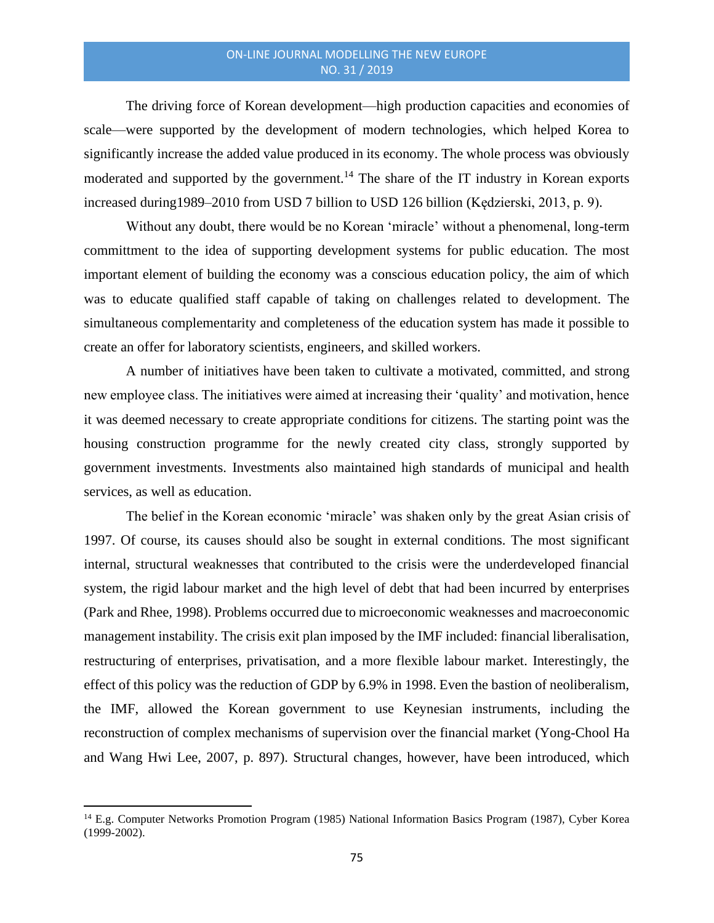The driving force of Korean development—high production capacities and economies of scale—were supported by the development of modern technologies, which helped Korea to significantly increase the added value produced in its economy. The whole process was obviously moderated and supported by the government.<sup>14</sup> The share of the IT industry in Korean exports increased during1989–2010 from USD 7 billion to USD 126 billion (Kędzierski, 2013, p. 9).

Without any doubt, there would be no Korean 'miracle' without a phenomenal, long-term committment to the idea of supporting development systems for public education. The most important element of building the economy was a conscious education policy, the aim of which was to educate qualified staff capable of taking on challenges related to development. The simultaneous complementarity and completeness of the education system has made it possible to create an offer for laboratory scientists, engineers, and skilled workers.

A number of initiatives have been taken to cultivate a motivated, committed, and strong new employee class. The initiatives were aimed at increasing their 'quality' and motivation, hence it was deemed necessary to create appropriate conditions for citizens. The starting point was the housing construction programme for the newly created city class, strongly supported by government investments. Investments also maintained high standards of municipal and health services, as well as education.

The belief in the Korean economic 'miracle' was shaken only by the great Asian crisis of 1997. Of course, its causes should also be sought in external conditions. The most significant internal, structural weaknesses that contributed to the crisis were the underdeveloped financial system, the rigid labour market and the high level of debt that had been incurred by enterprises (Park and Rhee*,* 1998). Problems occurred due to microeconomic weaknesses and macroeconomic management instability. The crisis exit plan imposed by the IMF included: financial liberalisation, restructuring of enterprises, privatisation, and a more flexible labour market. Interestingly, the effect of this policy was the reduction of GDP by 6.9% in 1998. Even the bastion of neoliberalism, the IMF, allowed the Korean government to use Keynesian instruments, including the reconstruction of complex mechanisms of supervision over the financial market (Yong-Chool Ha and Wang Hwi Lee, 2007, p. 897). Structural changes, however, have been introduced, which

<sup>14</sup> E.g. Computer Networks Promotion Program (1985) National Information Basics Program (1987), Cyber Korea (1999-2002).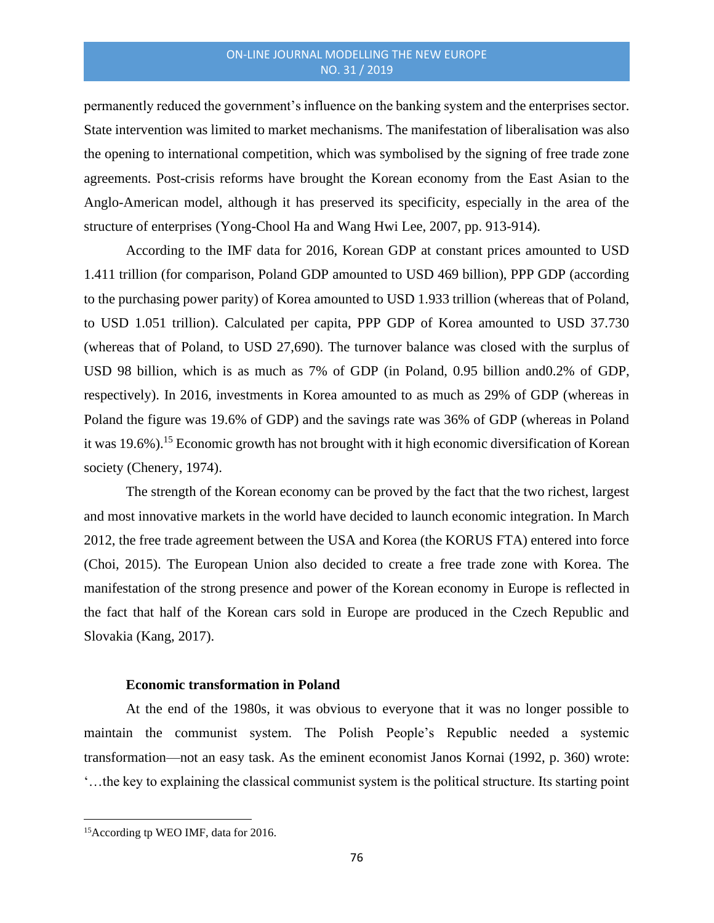permanently reduced the government's influence on the banking system and the enterprises sector. State intervention was limited to market mechanisms. The manifestation of liberalisation was also the opening to international competition, which was symbolised by the signing of free trade zone agreements. Post-crisis reforms have brought the Korean economy from the East Asian to the Anglo-American model, although it has preserved its specificity, especially in the area of the structure of enterprises (Yong-Chool Ha and Wang Hwi Lee, 2007, pp. 913-914).

According to the IMF data for 2016, Korean GDP at constant prices amounted to USD 1.411 trillion (for comparison, Poland GDP amounted to USD 469 billion), PPP GDP (according to the purchasing power parity) of Korea amounted to USD 1.933 trillion (whereas that of Poland, to USD 1.051 trillion). Calculated per capita, PPP GDP of Korea amounted to USD 37.730 (whereas that of Poland, to USD 27,690). The turnover balance was closed with the surplus of USD 98 billion, which is as much as 7% of GDP (in Poland, 0.95 billion and0.2% of GDP, respectively). In 2016, investments in Korea amounted to as much as 29% of GDP (whereas in Poland the figure was 19.6% of GDP) and the savings rate was 36% of GDP (whereas in Poland it was 19.6%).<sup>15</sup> Economic growth has not brought with it high economic diversification of Korean society (Chenery, 1974).

The strength of the Korean economy can be proved by the fact that the two richest, largest and most innovative markets in the world have decided to launch economic integration. In March 2012, the free trade agreement between the USA and Korea (the KORUS FTA) entered into force (Choi, 2015). The European Union also decided to create a free trade zone with Korea. The manifestation of the strong presence and power of the Korean economy in Europe is reflected in the fact that half of the Korean cars sold in Europe are produced in the Czech Republic and Slovakia (Kang, 2017).

#### **Economic transformation in Poland**

At the end of the 1980s, it was obvious to everyone that it was no longer possible to maintain the communist system. The Polish People's Republic needed a systemic transformation—not an easy task. As the eminent economist Janos Kornai (1992, p. 360) wrote: '…the key to explaining the classical communist system is the political structure. Its starting point

<sup>15</sup>According tp WEO IMF, data for 2016.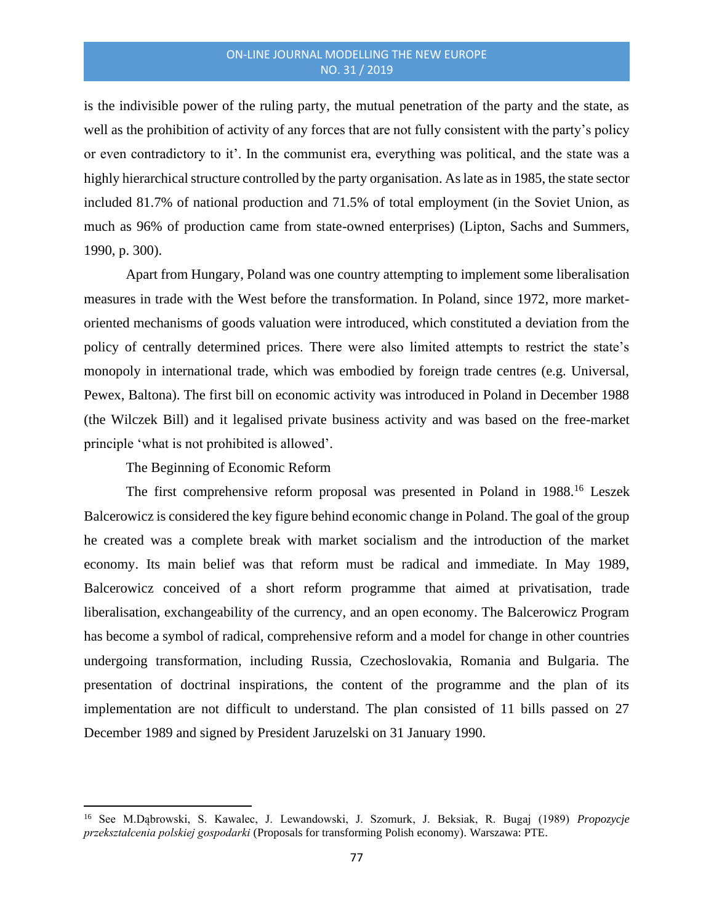is the indivisible power of the ruling party, the mutual penetration of the party and the state, as well as the prohibition of activity of any forces that are not fully consistent with the party's policy or even contradictory to it'. In the communist era, everything was political, and the state was a highly hierarchical structure controlled by the party organisation. As late as in 1985, the state sector included 81.7% of national production and 71.5% of total employment (in the Soviet Union, as much as 96% of production came from state-owned enterprises) (Lipton, Sachs and Summers, 1990, p. 300).

Apart from Hungary, Poland was one country attempting to implement some liberalisation measures in trade with the West before the transformation. In Poland, since 1972, more marketoriented mechanisms of goods valuation were introduced, which constituted a deviation from the policy of centrally determined prices. There were also limited attempts to restrict the state's monopoly in international trade, which was embodied by foreign trade centres (e.g. Universal, Pewex, Baltona). The first bill on economic activity was introduced in Poland in December 1988 (the Wilczek Bill) and it legalised private business activity and was based on the free-market principle 'what is not prohibited is allowed'.

The Beginning of Economic Reform

The first comprehensive reform proposal was presented in Poland in 1988.<sup>16</sup> Leszek Balcerowicz is considered the key figure behind economic change in Poland. The goal of the group he created was a complete break with market socialism and the introduction of the market economy. Its main belief was that reform must be radical and immediate. In May 1989, Balcerowicz conceived of a short reform programme that aimed at privatisation, trade liberalisation, exchangeability of the currency, and an open economy. The Balcerowicz Program has become a symbol of radical, comprehensive reform and a model for change in other countries undergoing transformation, including Russia, Czechoslovakia, Romania and Bulgaria. The presentation of doctrinal inspirations, the content of the programme and the plan of its implementation are not difficult to understand. The plan consisted of 11 bills passed on 27 December 1989 and signed by President Jaruzelski on 31 January 1990.

<sup>16</sup> See M.Dąbrowski, S. Kawalec, J. Lewandowski, J. Szomurk, J. Beksiak, R. Bugaj (1989) *Propozycje przekształcenia polskiej gospodarki* (Proposals for transforming Polish economy)*.* Warszawa: PTE.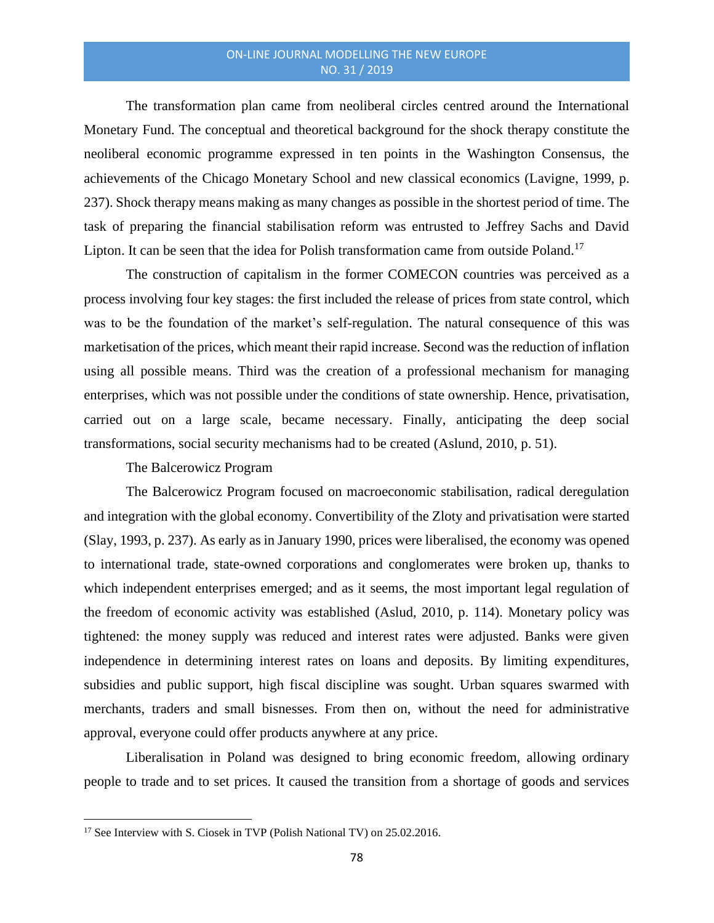The transformation plan came from neoliberal circles centred around the International Monetary Fund. The conceptual and theoretical background for the shock therapy constitute the neoliberal economic programme expressed in ten points in the Washington Consensus, the achievements of the Chicago Monetary School and new classical economics (Lavigne, 1999, p. 237). Shock therapy means making as many changes as possible in the shortest period of time. The task of preparing the financial stabilisation reform was entrusted to Jeffrey Sachs and David Lipton. It can be seen that the idea for Polish transformation came from outside Poland.<sup>17</sup>

The construction of capitalism in the former COMECON countries was perceived as a process involving four key stages: the first included the release of prices from state control, which was to be the foundation of the market's self-regulation. The natural consequence of this was marketisation of the prices, which meant their rapid increase. Second was the reduction of inflation using all possible means. Third was the creation of a professional mechanism for managing enterprises, which was not possible under the conditions of state ownership. Hence, privatisation, carried out on a large scale, became necessary. Finally, anticipating the deep social transformations, social security mechanisms had to be created (Aslund, 2010, p. 51).

The Balcerowicz Program

The Balcerowicz Program focused on macroeconomic stabilisation, radical deregulation and integration with the global economy. Convertibility of the Zloty and privatisation were started (Slay, 1993, p. 237). As early as in January 1990, prices were liberalised, the economy was opened to international trade, state-owned corporations and conglomerates were broken up, thanks to which independent enterprises emerged; and as it seems, the most important legal regulation of the freedom of economic activity was established (Aslud, 2010, p. 114). Monetary policy was tightened: the money supply was reduced and interest rates were adjusted. Banks were given independence in determining interest rates on loans and deposits. By limiting expenditures, subsidies and public support, high fiscal discipline was sought. Urban squares swarmed with merchants, traders and small bisnesses. From then on, without the need for administrative approval, everyone could offer products anywhere at any price.

Liberalisation in Poland was designed to bring economic freedom, allowing ordinary people to trade and to set prices. It caused the transition from a shortage of goods and services

<sup>&</sup>lt;sup>17</sup> See Interview with S. Ciosek in TVP (Polish National TV) on 25.02.2016.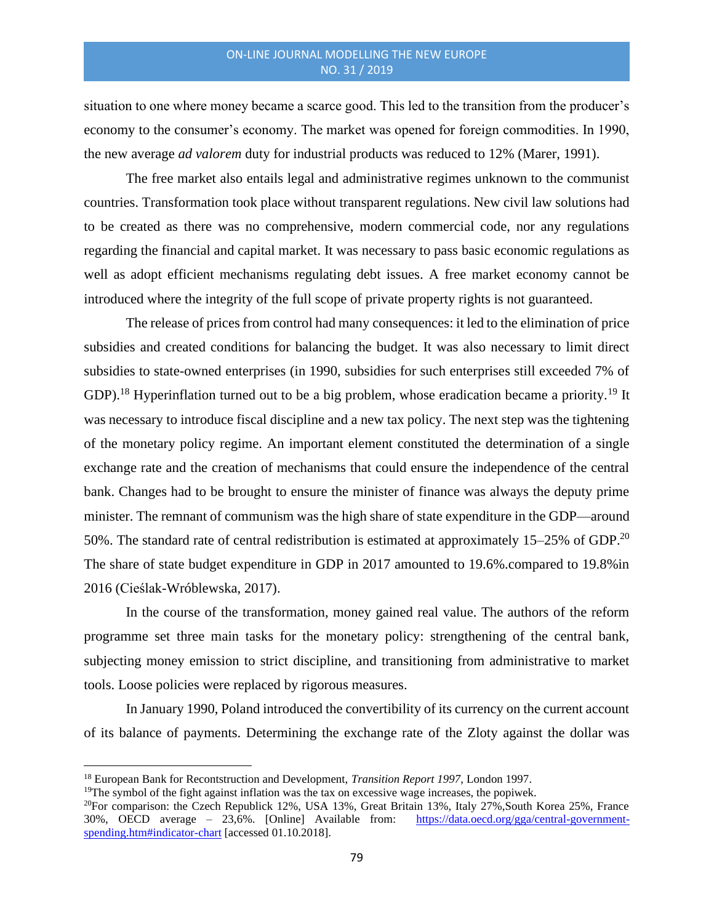situation to one where money became a scarce good. This led to the transition from the producer's economy to the consumer's economy. The market was opened for foreign commodities. In 1990, the new average *ad valorem* duty for industrial products was reduced to 12% (Marer, 1991).

The free market also entails legal and administrative regimes unknown to the communist countries. Transformation took place without transparent regulations. New civil law solutions had to be created as there was no comprehensive, modern commercial code, nor any regulations regarding the financial and capital market. It was necessary to pass basic economic regulations as well as adopt efficient mechanisms regulating debt issues. A free market economy cannot be introduced where the integrity of the full scope of private property rights is not guaranteed.

The release of prices from control had many consequences: it led to the elimination of price subsidies and created conditions for balancing the budget. It was also necessary to limit direct subsidies to state-owned enterprises (in 1990, subsidies for such enterprises still exceeded 7% of GDP).<sup>18</sup> Hyperinflation turned out to be a big problem, whose eradication became a priority.<sup>19</sup> It was necessary to introduce fiscal discipline and a new tax policy. The next step was the tightening of the monetary policy regime. An important element constituted the determination of a single exchange rate and the creation of mechanisms that could ensure the independence of the central bank. Changes had to be brought to ensure the minister of finance was always the deputy prime minister. The remnant of communism was the high share of state expenditure in the GDP—around 50%. The standard rate of central redistribution is estimated at approximately 15–25% of GDP.<sup>20</sup> The share of state budget expenditure in GDP in 2017 amounted to 19.6%.compared to 19.8%in 2016 (Cieślak-Wróblewska, 2017).

In the course of the transformation, money gained real value. The authors of the reform programme set three main tasks for the monetary policy: strengthening of the central bank, subjecting money emission to strict discipline, and transitioning from administrative to market tools. Loose policies were replaced by rigorous measures.

In January 1990, Poland introduced the convertibility of its currency on the current account of its balance of payments. Determining the exchange rate of the Zloty against the dollar was

<sup>18</sup> European Bank for Recontstruction and Development, *Transition Report 1997,* London 1997.

<sup>&</sup>lt;sup>19</sup>The symbol of the fight against inflation was the tax on excessive wage increases, the popiwek.

<sup>&</sup>lt;sup>20</sup>For comparison: the Czech Republick 12%, USA 13%, Great Britain 13%, Italy 27%, South Korea 25%, France 30%, OECD average – 23,6%. [Online] Available from: [https://data.oecd.org/gga/central-government](https://data.oecd.org/gga/central-government-spending.htm#indicator-chart)[spending.htm#indicator-chart](https://data.oecd.org/gga/central-government-spending.htm#indicator-chart) [accessed 01.10.2018].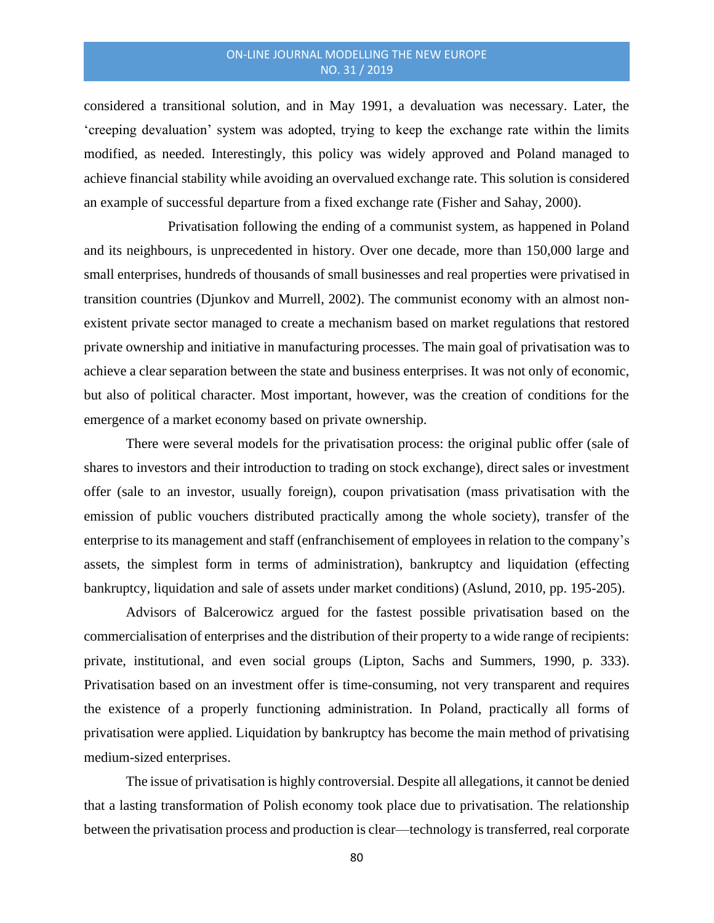considered a transitional solution, and in May 1991, a devaluation was necessary. Later, the 'creeping devaluation' system was adopted, trying to keep the exchange rate within the limits modified, as needed. Interestingly, this policy was widely approved and Poland managed to achieve financial stability while avoiding an overvalued exchange rate. This solution is considered an example of successful departure from a fixed exchange rate (Fisher and Sahay, 2000).

Privatisation following the ending of a communist system, as happened in Poland and its neighbours, is unprecedented in history. Over one decade, more than 150,000 large and small enterprises, hundreds of thousands of small businesses and real properties were privatised in transition countries (Djunkov and Murrell, 2002). The communist economy with an almost nonexistent private sector managed to create a mechanism based on market regulations that restored private ownership and initiative in manufacturing processes. The main goal of privatisation was to achieve a clear separation between the state and business enterprises. It was not only of economic, but also of political character. Most important, however, was the creation of conditions for the emergence of a market economy based on private ownership.

There were several models for the privatisation process: the original public offer (sale of shares to investors and their introduction to trading on stock exchange), direct sales or investment offer (sale to an investor, usually foreign), coupon privatisation (mass privatisation with the emission of public vouchers distributed practically among the whole society), transfer of the enterprise to its management and staff (enfranchisement of employees in relation to the company's assets, the simplest form in terms of administration), bankruptcy and liquidation (effecting bankruptcy, liquidation and sale of assets under market conditions) (Aslund, 2010, pp. 195-205).

Advisors of Balcerowicz argued for the fastest possible privatisation based on the commercialisation of enterprises and the distribution of their property to a wide range of recipients: private, institutional, and even social groups (Lipton, Sachs and Summers, 1990, p. 333). Privatisation based on an investment offer is time-consuming, not very transparent and requires the existence of a properly functioning administration. In Poland, practically all forms of privatisation were applied. Liquidation by bankruptcy has become the main method of privatising medium-sized enterprises.

The issue of privatisation is highly controversial. Despite all allegations, it cannot be denied that a lasting transformation of Polish economy took place due to privatisation. The relationship between the privatisation process and production is clear—technology is transferred, real corporate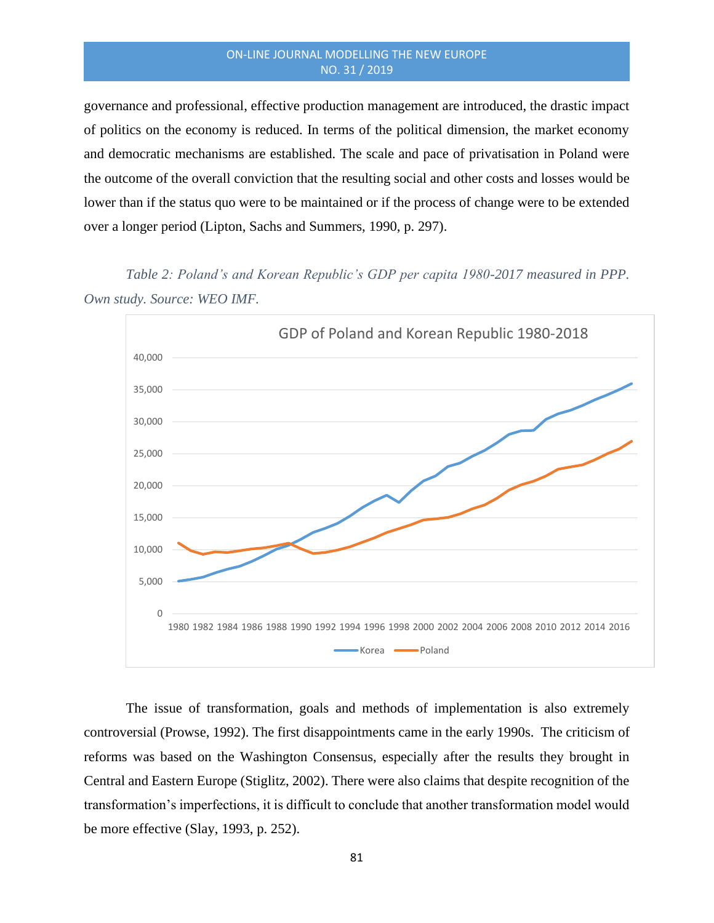governance and professional, effective production management are introduced, the drastic impact of politics on the economy is reduced. In terms of the political dimension, the market economy and democratic mechanisms are established. The scale and pace of privatisation in Poland were the outcome of the overall conviction that the resulting social and other costs and losses would be lower than if the status quo were to be maintained or if the process of change were to be extended over a longer period (Lipton, Sachs and Summers, 1990, p. 297).

*Table 2: Poland's and Korean Republic's GDP per capita 1980-2017 measured in PPP. Own study. Source: WEO IMF.* 



The issue of transformation, goals and methods of implementation is also extremely controversial (Prowse, 1992). The first disappointments came in the early 1990s. The criticism of reforms was based on the Washington Consensus, especially after the results they brought in Central and Eastern Europe (Stiglitz, 2002). There were also claims that despite recognition of the transformation's imperfections, it is difficult to conclude that another transformation model would be more effective (Slay, 1993, p. 252).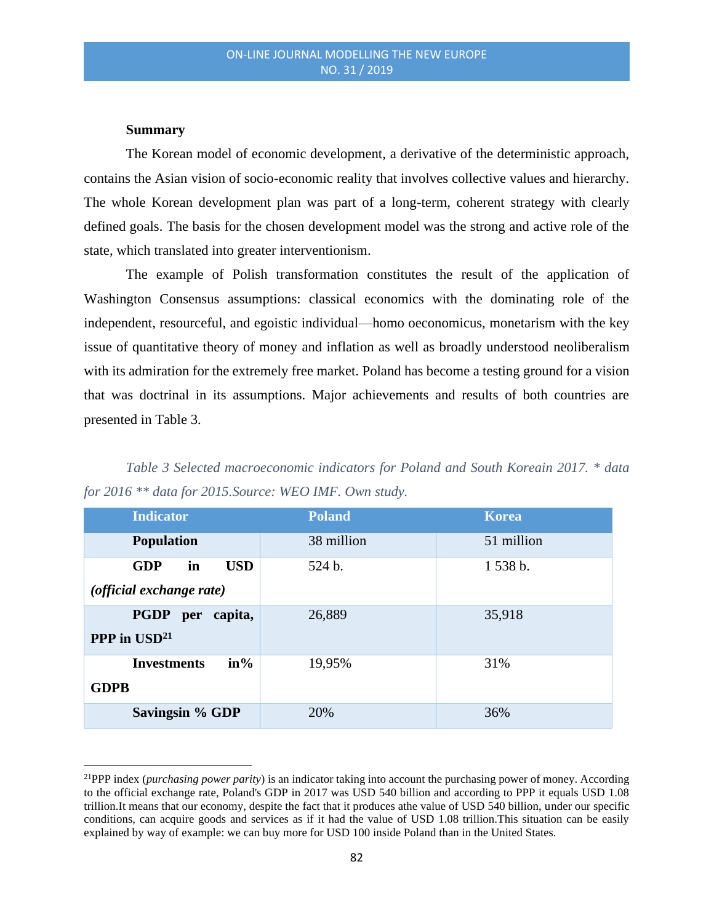#### **Summary**

The Korean model of economic development, a derivative of the deterministic approach, contains the Asian vision of socio-economic reality that involves collective values and hierarchy. The whole Korean development plan was part of a long-term, coherent strategy with clearly defined goals. The basis for the chosen development model was the strong and active role of the state, which translated into greater interventionism.

The example of Polish transformation constitutes the result of the application of Washington Consensus assumptions: classical economics with the dominating role of the independent, resourceful, and egoistic individual—homo oeconomicus, monetarism with the key issue of quantitative theory of money and inflation as well as broadly understood neoliberalism with its admiration for the extremely free market. Poland has become a testing ground for a vision that was doctrinal in its assumptions. Major achievements and results of both countries are presented in Table 3.

*Table 3 Selected macroeconomic indicators for Poland and South Koreain 2017. \* data for 2016 \*\* data for 2015.Source: WEO IMF. Own study.* 

| <b>Indicator</b>               | <b>Poland</b> | Korea      |
|--------------------------------|---------------|------------|
| <b>Population</b>              | 38 million    | 51 million |
| <b>GDP</b><br>in<br><b>USD</b> | 524 b.        | 1 538 b.   |
| (official exchange rate)       |               |            |
| <b>PGDP</b><br>capita,<br>per  | 26,889        | 35,918     |
| <b>PPP</b> in $USD21$          |               |            |
| $in\%$<br><b>Investments</b>   | 19,95%        | 31%        |
| <b>GDPB</b>                    |               |            |
| <b>Savingsin % GDP</b>         | 20%           | 36%        |

<sup>21</sup>PPP index (*purchasing power parity*) is an indicator taking into account the purchasing power of money. According to the official exchange rate, Poland's GDP in 2017 was USD 540 billion and according to PPP it equals USD 1.08 trillion.It means that our economy, despite the fact that it produces athe value of USD 540 billion, under our specific conditions, can acquire goods and services as if it had the value of USD 1.08 trillion.This situation can be easily explained by way of example: we can buy more for USD 100 inside Poland than in the United States.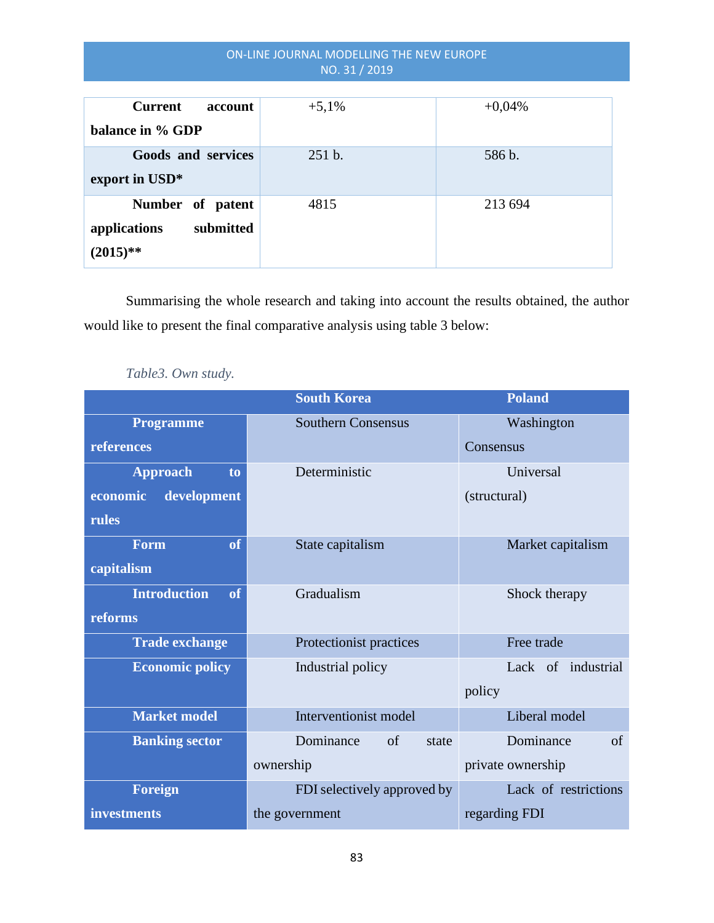| Current<br>account        | $+5,1%$ | $+0,04%$ |
|---------------------------|---------|----------|
| balance in % GDP          |         |          |
| Goods and services        | 251 b.  | 586 b.   |
| export in USD*            |         |          |
| Number of patent          | 4815    | 213 694  |
| submitted<br>applications |         |          |
| $(2015)$ **               |         |          |

Summarising the whole research and taking into account the results obtained, the author would like to present the final comparative analysis using table 3 below:

|                           | <b>South Korea</b>          | <b>Poland</b>        |
|---------------------------|-----------------------------|----------------------|
| <b>Programme</b>          | <b>Southern Consensus</b>   | Washington           |
| references                |                             | Consensus            |
| <b>Approach</b><br>to     | Deterministic               | Universal            |
| development<br>economic   |                             | (structural)         |
| rules                     |                             |                      |
| of<br><b>Form</b>         | State capitalism            | Market capitalism    |
| capitalism                |                             |                      |
| <b>Introduction</b><br>of | Gradualism                  | Shock therapy        |
| reforms                   |                             |                      |
| <b>Trade exchange</b>     | Protectionist practices     | Free trade           |
| <b>Economic policy</b>    | Industrial policy           | Lack of industrial   |
|                           |                             | policy               |
| <b>Market model</b>       | Interventionist model       | Liberal model        |
| <b>Banking sector</b>     | Dominance<br>of<br>state    | Dominance<br>of      |
|                           | ownership                   | private ownership    |
| <b>Foreign</b>            | FDI selectively approved by | Lack of restrictions |
| <b>investments</b>        | the government              | regarding FDI        |

*Table3. Own study.*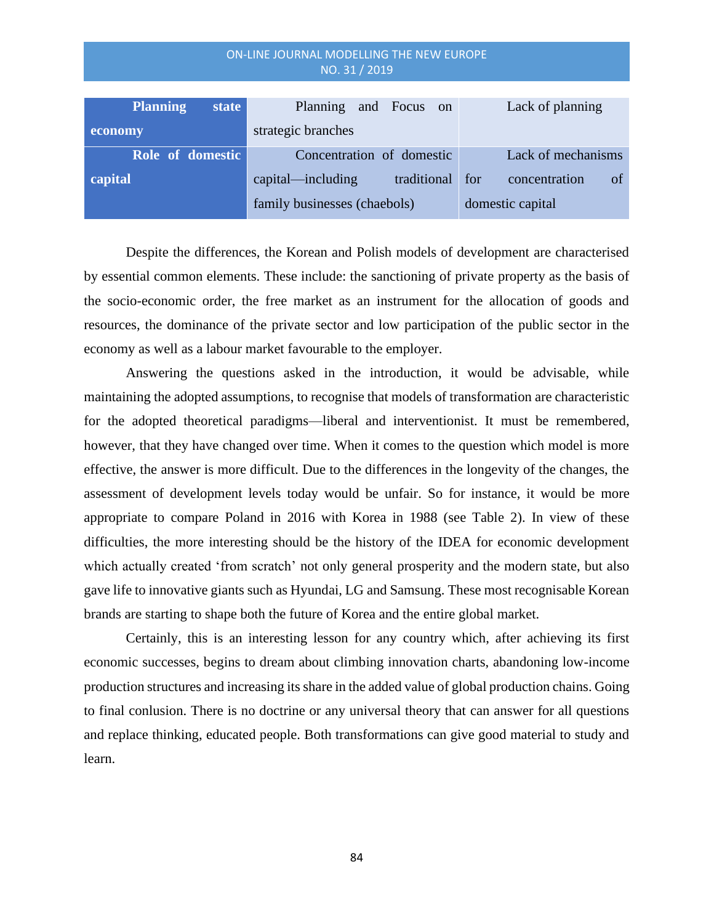| NO. 31 / 2019            |                                  |                            |  |
|--------------------------|----------------------------------|----------------------------|--|
|                          |                                  |                            |  |
| <b>Planning</b><br>state | Planning<br>and Focus on         | Lack of planning           |  |
| economy                  | strategic branches               |                            |  |
| Role of domestic         | Concentration of domestic        | Lack of mechanisms         |  |
| capital                  | capital—including<br>traditional | for<br>of<br>concentration |  |
|                          | family businesses (chaebols)     | domestic capital           |  |

Despite the differences, the Korean and Polish models of development are characterised by essential common elements. These include: the sanctioning of private property as the basis of the socio-economic order, the free market as an instrument for the allocation of goods and resources, the dominance of the private sector and low participation of the public sector in the economy as well as a labour market favourable to the employer.

Answering the questions asked in the introduction, it would be advisable, while maintaining the adopted assumptions, to recognise that models of transformation are characteristic for the adopted theoretical paradigms—liberal and interventionist. It must be remembered, however, that they have changed over time. When it comes to the question which model is more effective, the answer is more difficult. Due to the differences in the longevity of the changes, the assessment of development levels today would be unfair. So for instance, it would be more appropriate to compare Poland in 2016 with Korea in 1988 (see Table 2). In view of these difficulties, the more interesting should be the history of the IDEA for economic development which actually created 'from scratch' not only general prosperity and the modern state, but also gave life to innovative giants such as Hyundai, LG and Samsung. These most recognisable Korean brands are starting to shape both the future of Korea and the entire global market.

Certainly, this is an interesting lesson for any country which, after achieving its first economic successes, begins to dream about climbing innovation charts, abandoning low-income production structures and increasing its share in the added value of global production chains. Going to final conlusion. There is no doctrine or any universal theory that can answer for all questions and replace thinking, educated people. Both transformations can give good material to study and learn.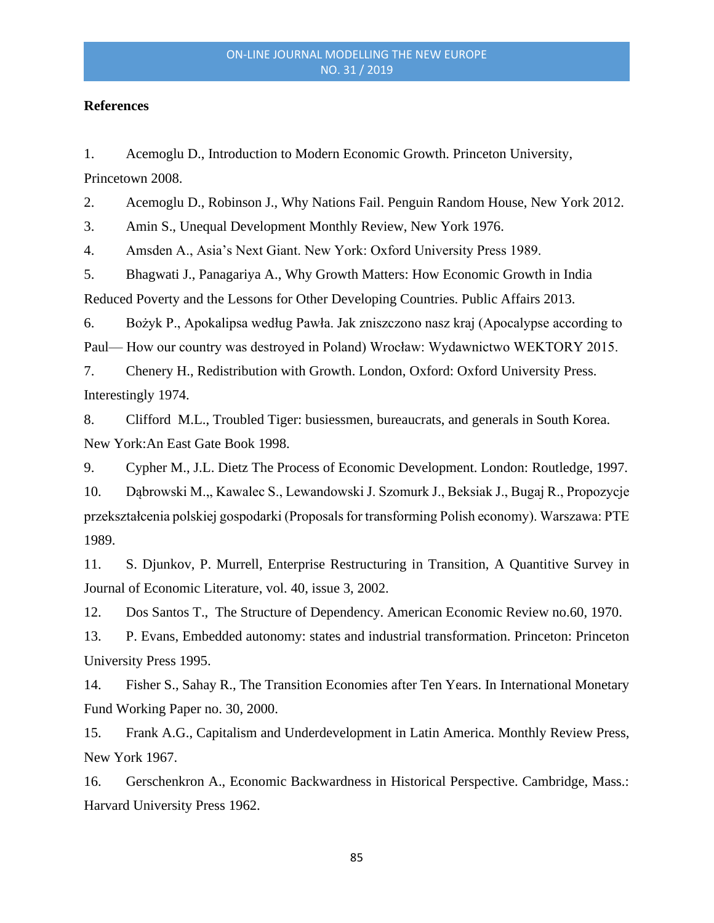#### **References**

1. Acemoglu D., Introduction to Modern Economic Growth. Princeton University, Princetown 2008.

2. Acemoglu D., Robinson J., [Why Nations Fail.](https://en.wikipedia.org/wiki/Why_Nations_Fail) Penguin Random House, New York 2012.

3. Amin S., Unequal Development Monthly Review, New York 1976.

4. Amsden A., Asia's Next Giant. New York: Oxford University Press 1989.

5. Bhagwati J., Panagariya A., Why Growth Matters: How Economic Growth in India Reduced Poverty and the Lessons for Other Developing Countries. Public Affairs 2013.

6. Bożyk P., Apokalipsa według Pawła. Jak zniszczono nasz kraj (Apocalypse according to Paul— How our country was destroyed in Poland) Wrocław: Wydawnictwo WEKTORY 2015.

7. Chenery H., Redistribution with Growth. London, Oxford: Oxford University Press. Interestingly 1974.

8. Clifford M.L., Troubled Tiger: busiessmen, bureaucrats, and generals in South Korea. New York:An East Gate Book 1998.

9. Cypher M., J.L. Dietz The Process of Economic Development. London: Routledge, 1997.

10. Dąbrowski M.,, Kawalec S., Lewandowski J. Szomurk J., Beksiak J., Bugaj R., Propozycje przekształcenia polskiej gospodarki (Proposals for transforming Polish economy). Warszawa: PTE 1989.

11. S. Djunkov, P. Murrell, Enterprise Restructuring in Transition, A Quantitive Survey in [Journal of Economic Literature,](https://econpapers.repec.org/article/aeajeclit/) vol. 40, issue 3, 2002.

12. Dos Santos T., The Structure of Dependency. American Economic Review no.60, 1970.

13. P. Evans, Embedded autonomy: states and industrial transformation. Princeton: Princeton University Press 1995.

14. Fisher S., Sahay R., The Transition Economies after Ten Years. In International Monetary Fund Working Paper no. 30, 2000.

15. Frank A.G., Capitalism and Underdevelopment in Latin America. Monthly Review Press, New York 1967.

16. Gerschenkron A., Economic Backwardness in Historical Perspective. Cambridge, Mass.: Harvard University Press 1962.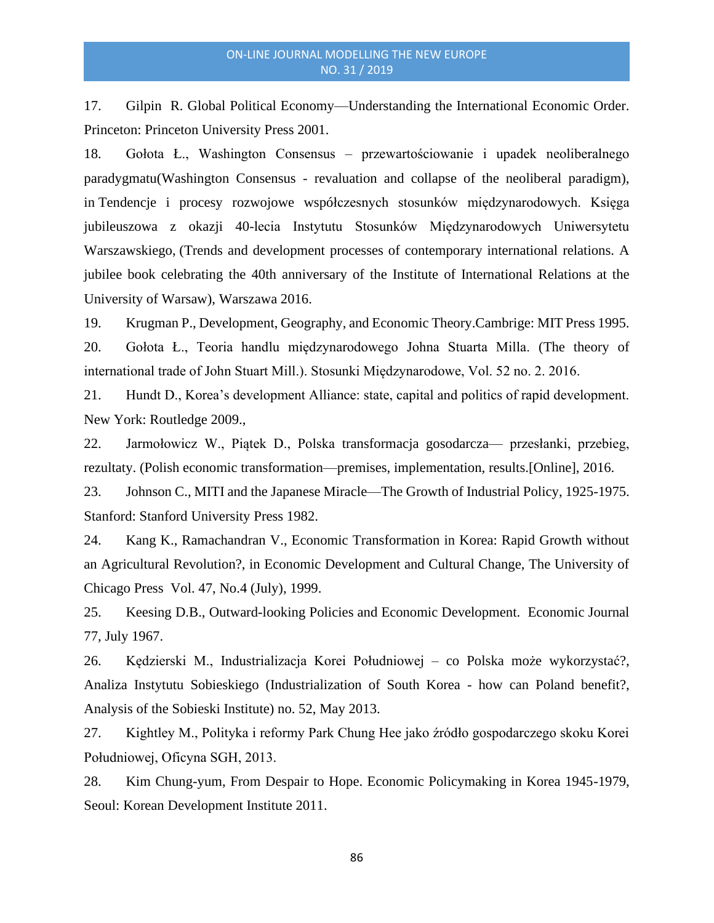17. Gilpin R. Global Political Economy—Understanding the International Economic Order. Princeton: Princeton University Press 2001.

18. Gołota Ł., Washington Consensus – przewartościowanie i upadek neoliberalnego paradygmatu(Washington Consensus - revaluation and collapse of the neoliberal paradigm), in Tendencje i procesy rozwojowe współczesnych stosunków międzynarodowych. Księga jubileuszowa z okazji 40-lecia Instytutu Stosunków Międzynarodowych Uniwersytetu Warszawskiego, (Trends and development processes of contemporary international relations. A jubilee book celebrating the 40th anniversary of the Institute of International Relations at the University of Warsaw), Warszawa 2016.

19. Krugman P., Development, Geography, and Economic Theory.Cambrige: MIT Press 1995.

20. Gołota Ł., Teoria handlu międzynarodowego Johna Stuarta Milla. (The theory of international trade of John Stuart Mill.). Stosunki Międzynarodowe, Vol. 52 no. 2. 2016.

21. Hundt D., Korea's development Alliance: state, capital and politics of rapid development. New York: Routledge 2009.,

22. Jarmołowicz W., Piątek D., Polska transformacja gosodarcza— przesłanki, przebieg, rezultaty. (Polish economic transformation—premises, implementation, results.[Online], 2016.

23. Johnson C., MITI and the Japanese Miracle—The Growth of Industrial Policy, 1925-1975. Stanford: Stanford University Press 1982.

24. Kang K., Ramachandran V., Economic Transformation in Korea: Rapid Growth without an Agricultural Revolution?, in Economic Development and Cultural Change, The University of Chicago Press Vol. 47, No.4 (July), 1999.

25. Keesing D.B., Outward-looking Policies and Economic Development. Economic Journal 77, July 1967.

26. Kędzierski M., Industrializacja Korei Południowej – co Polska może wykorzystać?, Analiza Instytutu Sobieskiego (Industrialization of South Korea - how can Poland benefit?, Analysis of the Sobieski Institute) no. 52, May 2013.

27. Kightley M., Polityka i reformy Park Chung Hee jako źródło gospodarczego skoku Korei Południowej, Oficyna SGH, 2013.

28. Kim Chung-yum, From Despair to Hope. Economic Policymaking in Korea 1945-1979, Seoul: Korean Development Institute 2011.

86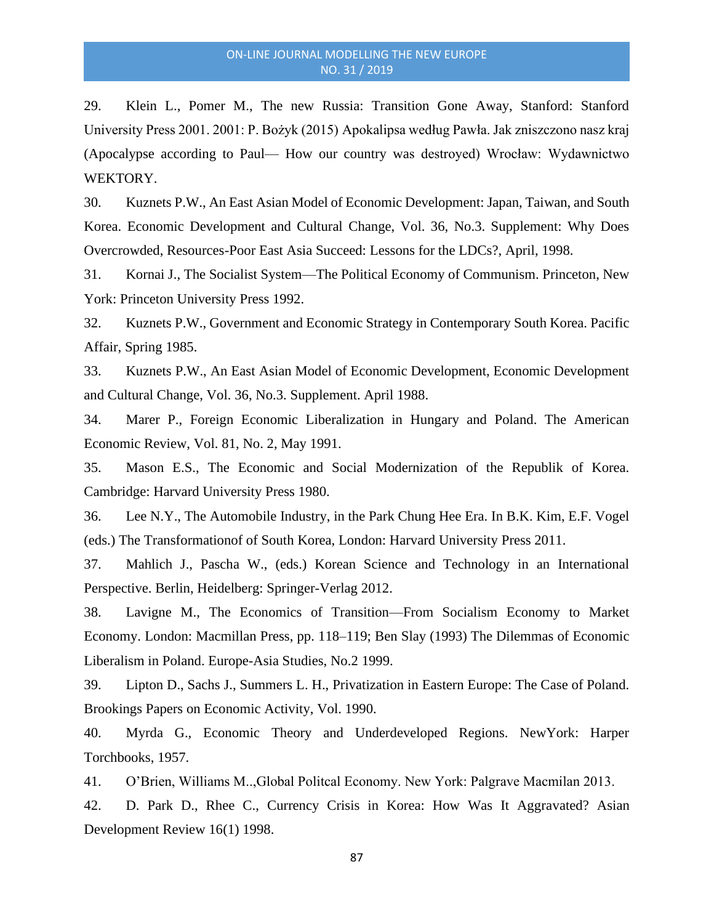29. Klein L., Pomer M., The new Russia: Transition Gone Away, Stanford: Stanford University Press 2001. 2001: P. Bożyk (2015) Apokalipsa według Pawła. Jak zniszczono nasz kraj (Apocalypse according to Paul— How our country was destroyed) Wrocław: Wydawnictwo WEKTORY.

30. Kuznets P.W., An East Asian Model of Economic Development: Japan, Taiwan, and South Korea. Economic Development and Cultural Change, Vol. 36, No.3. Supplement: Why Does Overcrowded, Resources-Poor East Asia Succeed: Lessons for the LDCs?, April, 1998.

31. Kornai J., The Socialist System—The Political Economy of Communism. Princeton, New York: Princeton University Press 1992.

32. Kuznets P.W., Government and Economic Strategy in Contemporary South Korea. Pacific Affair, Spring 1985.

33. Kuznets P.W., An East Asian Model of Economic Development, Economic Development and Cultural Change, Vol. 36, No.3. Supplement. April 1988.

34. Marer P., Foreign Economic Liberalization in Hungary and Poland. The American Economic Review, Vol. 81, No. 2, May 1991.

35. Mason E.S., The Economic and Social Modernization of the Republik of Korea. Cambridge: Harvard University Press 1980.

36. Lee N.Y., The Automobile Industry, in the Park Chung Hee Era. In B.K. Kim, E.F. Vogel (eds.) The Transformationof of South Korea, London: Harvard University Press 2011.

37. Mahlich J., Pascha W., (eds.) Korean Science and Technology in an International Perspective. Berlin, Heidelberg: Springer-Verlag 2012.

38. Lavigne M., The Economics of Transition—From Socialism Economy to Market Economy. London: Macmillan Press, pp. 118–119; Ben Slay (1993) The Dilemmas of Economic Liberalism in Poland. Europe-Asia Studies, No.2 1999.

39. Lipton D., Sachs J., Summers L. H., Privatization in Eastern Europe: The Case of Poland. Brookings Papers on Economic Activity, Vol. 1990.

40. Myrda G., Economic Theory and Underdeveloped Regions. NewYork: Harper Torchbooks, 1957.

41. O'Brien, Williams M..,Global Politcal Economy. New York: Palgrave Macmilan 2013.

42. D. Park D., Rhee C., Currency Crisis in Korea: How Was It Aggravated? Asian Development Review 16(1) 1998.

87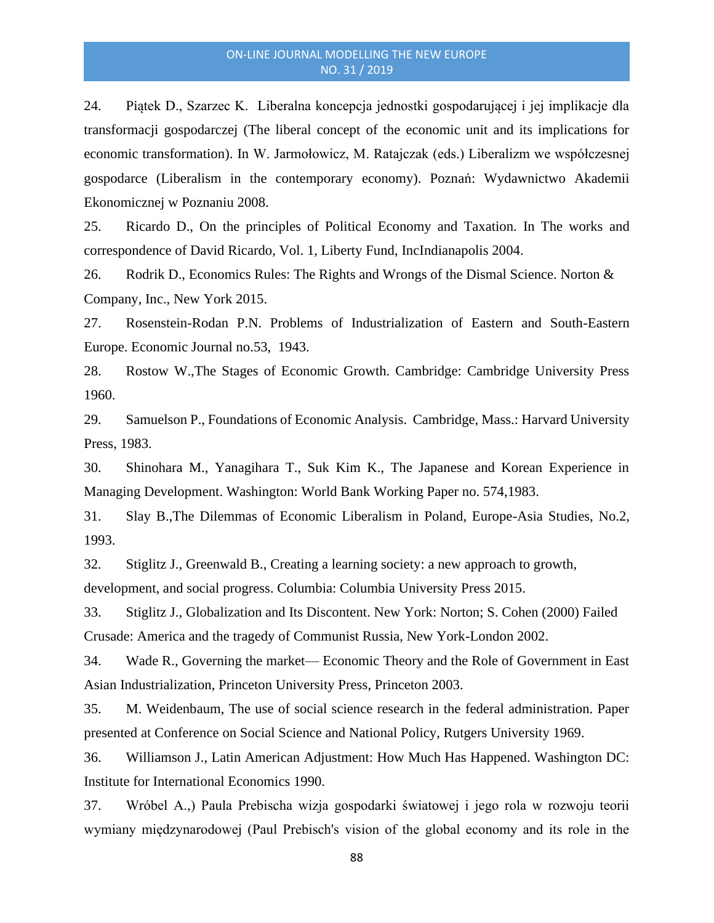24. Piątek D., Szarzec K. Liberalna koncepcja jednostki gospodarującej i jej implikacje dla transformacji gospodarczej (The liberal concept of the economic unit and its implications for economic transformation). In W. Jarmołowicz, M. Ratajczak (eds.) Liberalizm we współczesnej gospodarce (Liberalism in the contemporary economy). Poznań: Wydawnictwo Akademii Ekonomicznej w Poznaniu 2008.

25. Ricardo D., On the principles of Political Economy and Taxation. In The works and correspondence of David Ricardo, Vol. 1, Liberty Fund, IncIndianapolis 2004.

26. Rodrik D., Economics Rules: The Rights and Wrongs of the Dismal Science. Norton & Company, Inc., New York 2015.

27. Rosenstein-Rodan P.N. Problems of Industrialization of Eastern and South-Eastern Europe. Economic Journal no.53, 1943.

28. Rostow W.,The Stages of Economic Growth. Cambridge: Cambridge University Press 1960.

29. Samuelson P., Foundations of Economic Analysis. Cambridge, Mass.: Harvard University Press, 1983.

30. Shinohara M., Yanagihara T., Suk Kim K., The Japanese and Korean Experience in Managing Development. Washington: World Bank Working Paper no. 574,1983.

31. Slay B.,The Dilemmas of Economic Liberalism in Poland, Europe-Asia Studies, No.2, 1993.

32. Stiglitz J., Greenwald B., Creating a learning society: a new approach to growth,

development, and social progress. Columbia: Columbia University Press 2015.

33. Stiglitz J., Globalization and Its Discontent. New York: Norton; S. Cohen (2000) Failed Crusade: America and the tragedy of Communist Russia, New York-London 2002.

34. Wade R., Governing the market— Economic Theory and the Role of Government in East Asian Industrialization, Princeton University Press, Princeton 2003.

35. M. Weidenbaum, The use of social science research in the federal administration. Paper presented at Conference on Social Science and National Policy, Rutgers University 1969.

36. Williamson J., Latin American Adjustment: How Much Has Happened. Washington DC: Institute for International Economics 1990.

37. Wróbel A.,) Paula Prebischa wizja gospodarki światowej i jego rola w rozwoju teorii wymiany międzynarodowej (Paul Prebisch's vision of the global economy and its role in the